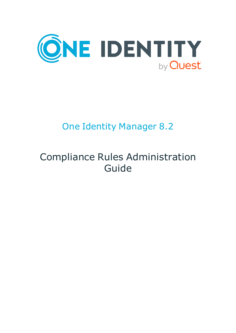

# One Identity Manager 8.2

# Compliance Rules Administration Guide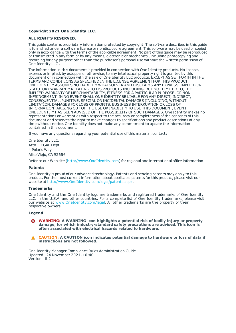#### **Copyright 2021 One Identity LLC.**

#### **ALL RIGHTS RESERVED.**

This guide contains proprietary information protected by copyright. The software described in this guide is furnished under a software license or nondisclosure agreement. This software may be used or copied only in accordance with the terms of the applicable agreement. No part of this guide may be reproduced or transmitted in any form or by any means, electronic or mechanical, including photocopying and recording for any purpose other than the purchaser's personal use without the written permission of One Identity LLC .

The information in this document is provided in connection with One Identity products. No license, express or implied, by estoppel or otherwise, to any intellectual property right is granted by this document or in connection with the sale of One Identity LLC products. EXCEPT AS SET FORTH IN THE TERMS AND CONDITIONS AS SPECIFIED IN THE LICENSE AGREEMENT FOR THIS PRODUCT, ONE IDENTITY ASSUMES NO LIABILITY WHATSOEVER AND DISCLAIMS ANY EXPRESS, IMPLIED OR STATUTORY WARRANTY RELATING TO ITS PRODUCTS INCLUDING, BUT NOT LIMITED TO, THE IMPLIED WARRANTY OF MERCHANTABILITY, FITNESS FOR A PARTICULAR PURPOSE, OR NON-INFRINGEMENT. IN NO EVENT SHALL ONE IDENTITY BE LIABLE FOR ANY DIRECT, INDIRECT, CONSEQUENTIAL, PUNITIVE, SPECIAL OR INCIDENTAL DAMAGES (INCLUDING, WITHOUT LIMITATION, DAMAGES FOR LOSS OF PROFITS, BUSINESS INTERRUPTION OR LOSS OF INFORMATION) ARISING OUT OF THE USE OR INABILITY TO USE THIS DOCUMENT, EVEN IF ONE IDENTITY HAS BEEN ADVISED OF THE POSSIBILITY OF SUCH DAMAGES. One Identity makes no representations or warranties with respect to the accuracy or completeness of the contents of this document and reserves the right to make changes to specifications and product descriptions at any time without notice. One Identity does not make any commitment to update the information contained in this document.

If you have any questions regarding your potential use of this material, contact:

One Identity LLC. Attn: LEGAL Dept 4 Polaris Way Aliso Viejo, CA 92656

Refer to our Web site ([http://www.OneIdentity.com](http://www.oneidentity.com/)) for regional and international office information.

#### **Patents**

One Identity is proud of our advanced technology. Patents and pending patents may apply to this product. For the most current information about applicable patents for this product, please visit our website at [http://www.OneIdentity.com/legal/patents.aspx](http://www.oneidentity.com/legal/patents.aspx).

#### **Trademarks**

One Identity and the One Identity logo are trademarks and registered trademarks of One Identity LLC. in the U.S.A. and other countries. For a complete list of One Identity trademarks, please visit our website at [www.OneIdentity.com/legal](http://www.oneidentity.com/legal). All other trademarks are the property of their respective owners.

#### **Legend**

**WARNING: A WARNING icon highlights a potential risk of bodily injury or property damage, for which industry-standard safety precautions are advised. This icon is often associated with electrical hazards related to hardware.**

**CAUTION: A CAUTION icon indicates potential damage to hardware or loss of data if** A **instructions are not followed.**

One Identity Manager Compliance Rules Administration Guide Updated - 24 November 2021, 10:40 Version - 8.2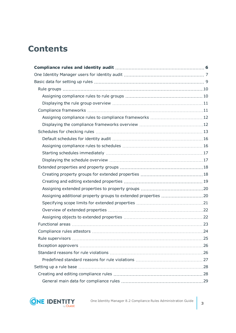## **Contents**

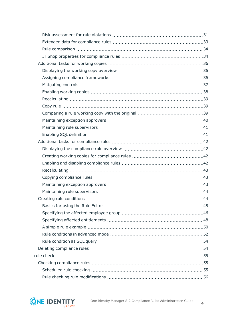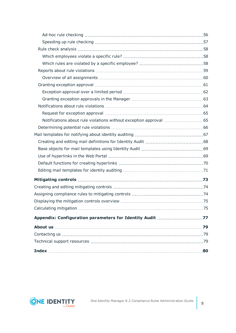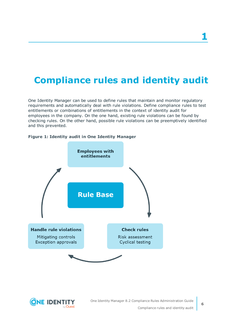## <span id="page-5-0"></span>**Compliance rules and identity audit**

One Identity Manager can be used to define rules that maintain and monitor regulatory requirements and automatically deal with rule violations. Define compliance rules to test entitlements or combinations of entitlements in the context of identity audit for employees in the company. On the one hand, existing rule violations can be found by checking rules. On the other hand, possible rule violations can be preemptively identified and this prevented.



### **Figure 1: Identity audit in One Identity Manager**

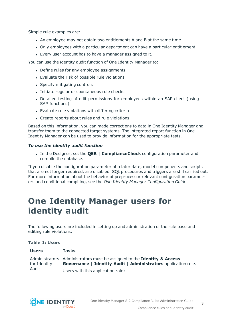Simple rule examples are:

- . An employee may not obtain two entitlements A and B at the same time.
- <sup>l</sup> Only employees with a particular department can have a particular entitlement.
- Every user account has to have a manager assigned to it.

You can use the identity audit function of One Identity Manager to:

- Define rules for any employee assignments
- Evaluate the risk of possible rule violations
- Specify mitigating controls
- Initiate regular or spontaneous rule checks
- Detailed testing of edit permissions for employees within an SAP client (using SAP functions)
- Evaluate rule violations with differing criteria
- Create reports about rules and rule violations

Based on this information, you can made corrections to data in One Identity Manager and transfer them to the connected target systems. The integrated report function in One Identity Manager can be used to provide information for the appropriate tests.

### *To use the identity audit function*

<sup>l</sup> In the Designer, set the **QER | ComplianceCheck** configuration parameter and compile the database.

If you disable the configuration parameter at a later date, model components and scripts that are not longer required, are disabled. SQL procedures and triggers are still carried out. For more information about the behavior of preprocessor relevant configuration parameters and conditional compiling, see the *One Identity Manager Configuration Guide*.

## <span id="page-6-0"></span>**One Identity Manager users for identity audit**

The following users are included in setting up and administration of the rule base and editing rule violations.

### **Table 1: Users**

| <b>Users</b>          | <b>Tasks</b>                                                                                                                                     |
|-----------------------|--------------------------------------------------------------------------------------------------------------------------------------------------|
| for Identity<br>Audit | Administrators Administrators must be assigned to the Identity & Access<br><b>Governance   Identity Audit   Administrators application role.</b> |
|                       | Users with this application role:                                                                                                                |

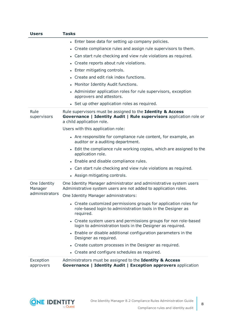| <b>Users</b>                              | <b>Tasks</b>                                                                                                                                                  |
|-------------------------------------------|---------------------------------------------------------------------------------------------------------------------------------------------------------------|
|                                           | • Enter base data for setting up company policies.                                                                                                            |
|                                           | Create compliance rules and assign rule supervisors to them.<br>$\bullet$                                                                                     |
|                                           | Can start rule checking and view rule violations as required.<br>$\bullet$                                                                                    |
|                                           | Create reports about rule violations.<br>$\bullet$                                                                                                            |
|                                           | • Enter mitigating controls.                                                                                                                                  |
|                                           | Create and edit risk index functions.                                                                                                                         |
|                                           | • Monitor Identity Audit functions.                                                                                                                           |
|                                           | Administer application roles for rule supervisors, exception<br>approvers and attestors.                                                                      |
|                                           | • Set up other application roles as required.                                                                                                                 |
| Rule<br>supervisors                       | Rule supervisors must be assigned to the Identity & Access<br>Governance   Identity Audit   Rule supervisors application role or<br>a child application role. |
|                                           | Users with this application role:                                                                                                                             |
|                                           | • Are responsible for compliance rule content, for example, an<br>auditor or a auditing department.                                                           |
|                                           | • Edit the compliance rule working copies, which are assigned to the<br>application role.                                                                     |
|                                           | • Enable and disable compliance rules.                                                                                                                        |
|                                           | • Can start rule checking and view rule violations as required.                                                                                               |
|                                           | • Assign mitigating controls.                                                                                                                                 |
| One Identity<br>Manager<br>administrators | One Identity Manager administrator and administrative system users<br>Administrative system users are not added to application roles.                         |
|                                           | One Identity Manager administrators:                                                                                                                          |
|                                           | • Create customized permissions groups for application roles for<br>role-based login to administration tools in the Designer as<br>required.                  |
|                                           | • Create system users and permissions groups for non role-based<br>login to administration tools in the Designer as required.                                 |
|                                           | • Enable or disable additional configuration parameters in the<br>Designer as required.                                                                       |
|                                           | • Create custom processes in the Designer as required.                                                                                                        |
|                                           | • Create and configure schedules as required.                                                                                                                 |
| Exception<br>approvers                    | Administrators must be assigned to the Identity & Access<br>Governance   Identity Audit   Exception approvers application                                     |

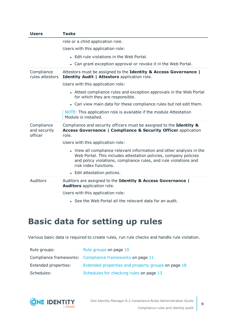| <b>Users</b>                          | <b>Tasks</b>                                                                                                                                                                                                                          |
|---------------------------------------|---------------------------------------------------------------------------------------------------------------------------------------------------------------------------------------------------------------------------------------|
|                                       | role or a child application role.                                                                                                                                                                                                     |
|                                       | Users with this application role:                                                                                                                                                                                                     |
|                                       | • Edit rule violations in the Web Portal.                                                                                                                                                                                             |
|                                       | • Can grant exception approval or revoke it in the Web Portal.                                                                                                                                                                        |
| Compliance<br>rules attestors         | Attestors must be assigned to the Identity & Access Governance  <br>Identity Audit   Attestors application role.                                                                                                                      |
|                                       | Users with this application role:                                                                                                                                                                                                     |
|                                       | • Attest compliance rules and exception approvals in the Web Portal<br>for which they are responsible.                                                                                                                                |
|                                       | • Can view main data for these compliance rules but not edit them.                                                                                                                                                                    |
|                                       | NOTE: This application role is available if the module Attestation<br>Module is installed.                                                                                                                                            |
| Compliance<br>and security<br>officer | Compliance and security officers must be assigned to the Identity &<br><b>Access Governance   Compliance &amp; Security Officer application</b><br>role.                                                                              |
|                                       | Users with this application role:                                                                                                                                                                                                     |
|                                       | • View all compliance relevant information and other analysis in the<br>Web Portal. This includes attestation policies, company policies<br>and policy violations, compliance rules, and rule violations and<br>risk index functions. |
|                                       | • Edit attestation polices.                                                                                                                                                                                                           |
| Auditors                              | Auditors are assigned to the Identity & Access Governance  <br>Auditors application role.                                                                                                                                             |
|                                       | Users with this application role:                                                                                                                                                                                                     |
|                                       | • See the Web Portal all the relevant data for an audit.                                                                                                                                                                              |

## <span id="page-8-0"></span>**Basic data for setting up rules**

Various basic data is required to create rules, run rule checks and handle rule violation.

| Rule groups:         | Rule groups on page 10                                  |
|----------------------|---------------------------------------------------------|
|                      | Compliance frameworks: Compliance frameworks on page 11 |
| Extended properties: | Extended properties and property groups on page 18      |
| Schedules:           | Schedules for checking rules on page 13                 |

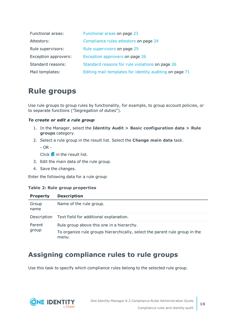| Functional areas:    | Functional areas on page 23                             |
|----------------------|---------------------------------------------------------|
| Attestors:           | Compliance rules attestors on page 24                   |
| Rule supervisors:    | Rule supervisors on page 25                             |
| Exception approvers: | Exception approvers on page 26                          |
| Standard reasons:    | Standard reasons for rule violations on page 26         |
| Mail templates:      | Editing mail templates for identity auditing on page 71 |

## <span id="page-9-0"></span>**Rule groups**

Use rule groups to group rules by functionality, for example, to group account policies, or to separate functions ("Segregation of duties").

### *To create or edit a rule group*

- 1. In the Manager, select the **Identity Audit > Basic configuration data > Rule groups** category.
- 2. Select a rule group in the result list. Select the **Change main data** task.

- OR -

Click  $\blacksquare$  in the result list.

- 3. Edit the main data of the rule group.
- 4. Save the changes.

Enter the following data for a rule group

### **Table 2: Rule group properties**

| <b>Property</b> | <b>Description</b>                                                                                                                |
|-----------------|-----------------------------------------------------------------------------------------------------------------------------------|
| Group<br>name   | Name of the rule group.                                                                                                           |
| Description     | Text field for additional explanation.                                                                                            |
| Parent<br>group | Rule group above this one in a hierarchy.<br>To organize rule groups hierarchically, select the parent rule group in the<br>menu. |

### <span id="page-9-1"></span>**Assigning compliance rules to rule groups**

Use this task to specify which compliance rules belong to the selected rule group.

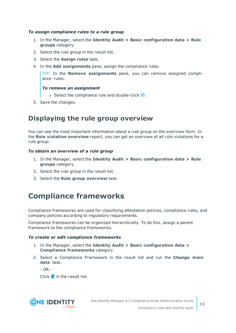### *To assign compliance rules to a rule group*

- 1. In the Manager, select the **Identity Audit > Basic configuration data > Rule groups** category.
- 2. Select the rule group in the result list.
- 3. Select the **Assign rules** task.
- 4. In the **Add assignments** pane, assign the compliance rules.

TIP: In the **Remove assignments** pane, you can remove assigned compliance rules.

### *To remove an assignment*

- Select the compliance rule and double-click  $\bigcirc$ .
- <span id="page-10-0"></span>5. Save the changes.

### **Displaying the rule group overview**

You can see the most important information about a rule group on the overview form. In the **Rule violation overview** report, you can get an overview of all rule violations for a rule group.

### *To obtain an overview of a rule group*

- 1. In the Manager, select the **Identity Audit > Basic configuration data > Rule groups** category.
- 2. Select the rule group in the result list.
- <span id="page-10-1"></span>3. Select the **Rule group overview** task.

## **Compliance frameworks**

Compliance frameworks are used for classifying attestation policies, compliance rules, and company policies according to regulatory requirements.

Compliance frameworks can be organized hierarchically. To do this, assign a parent framework to the compliance frameworks.

### *To create or edit compliance frameworks*

- 1. In the Manager, select the **Identity Audit > Basic configuration data > Compliance frameworks** category.
- 2. Select a Compliance Framework in the result list and run the **Change main data** task.

 $- OR -$ 

Click  $\mathbf{r}$  in the result list.

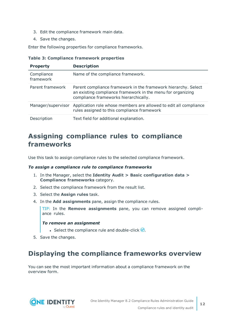- 3. Edit the compliance framework main data.
- 4. Save the changes.

Enter the following properties for compliance frameworks.

|  |  | <b>Table 3: Compliance framework properties</b> |  |  |
|--|--|-------------------------------------------------|--|--|
|--|--|-------------------------------------------------|--|--|

| <b>Property</b>         | <b>Description</b>                                                                                                                                                     |
|-------------------------|------------------------------------------------------------------------------------------------------------------------------------------------------------------------|
| Compliance<br>framework | Name of the compliance framework.                                                                                                                                      |
| Parent framework        | Parent compliance framework in the framework hierarchy. Select<br>an existing compliance framework in the menu for organizing<br>compliance frameworks hierarchically. |
| Manager/supervisor      | Application role whose members are allowed to edit all compliance<br>rules assigned to this compliance framework                                                       |
| Description             | Text field for additional explanation.                                                                                                                                 |

### <span id="page-11-0"></span>**Assigning compliance rules to compliance frameworks**

Use this task to assign compliance rules to the selected compliance framework.

#### *To assign a compliance rule to compliance frameworks*

- 1. In the Manager, select the **Identity Audit > Basic configuration data > Compliance frameworks** category.
- 2. Select the compliance framework from the result list.
- 3. Select the **Assign rules** task.
- 4. In the **Add assignments** pane, assign the compliance rules.

TIP: In the **Remove assignments** pane, you can remove assigned compliance rules.

#### *To remove an assignment*

- Select the compliance rule and double-click  $\bigcirc$ .
- <span id="page-11-1"></span>5. Save the changes.

### **Displaying the compliance frameworks overview**

You can see the most important information about a compliance framework on the overview form.

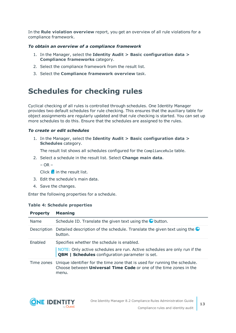In the **Rule violation overview** report, you get an overview of all rule violations for a compliance framework.

### *To obtain an overview of a compliance framework*

- 1. In the Manager, select the **Identity Audit > Basic configuration data > Compliance frameworks** category.
- 2. Select the compliance framework from the result list.
- 3. Select the **Compliance framework overview** task.

## <span id="page-12-0"></span>**Schedules for checking rules**

Cyclical checking of all rules is controlled through schedules. One Identity Manager provides two default schedules for rule checking. This ensures that the auxiliary table for object assignments are regularly updated and that rule checking is started. You can set up more schedules to do this. Ensure that the schedules are assigned to the rules.

### *To create or edit schedules*

1. In the Manager, select the **Identity Audit > Basic configuration data > Schedules** category.

The result list shows all schedules configured for the ComplianceRule table.

2. Select a schedule in the result list. Select **Change main data**.

 $-$  OR  $-$ 

Click  $\mathbf{t}$  in the result list.

- 3. Edit the schedule's main data.
- 4. Save the changes.

Enter the following properties for a schedule.

### **Table 4: Schedule properties**

| <b>Property</b> | <b>Meaning</b>                                                                                                                                                   |
|-----------------|------------------------------------------------------------------------------------------------------------------------------------------------------------------|
| Name            | Schedule ID. Translate the given text using the $\bullet$ button.                                                                                                |
| Description     | Detailed description of the schedule. Translate the given text using the<br>button.                                                                              |
| Enabled         | Specifies whether the schedule is enabled.                                                                                                                       |
|                 | NOTE: Only active schedules are run. Active schedules are only run if the<br><b>QBM</b>   Schedules configuration parameter is set.                              |
| Time zones      | Unique identifier for the time zone that is used for running the schedule.<br>Choose between <b>Universal Time Code</b> or one of the time zones in the<br>menu. |

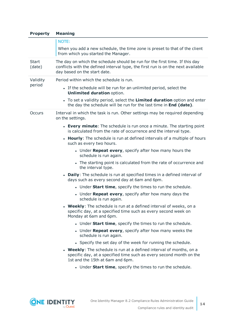| <b>Property</b>        | <b>Meaning</b>                                                                                                                                                                                  |  |  |  |  |
|------------------------|-------------------------------------------------------------------------------------------------------------------------------------------------------------------------------------------------|--|--|--|--|
|                        | NOTE:                                                                                                                                                                                           |  |  |  |  |
|                        | When you add a new schedule, the time zone is preset to that of the client<br>from which you started the Manager.                                                                               |  |  |  |  |
| <b>Start</b><br>(date) | The day on which the schedule should be run for the first time. If this day<br>conflicts with the defined interval type, the first run is on the next available<br>day based on the start date. |  |  |  |  |
| Validity               | Period within which the schedule is run.                                                                                                                                                        |  |  |  |  |
| period                 | • If the schedule will be run for an unlimited period, select the<br><b>Unlimited duration option.</b>                                                                                          |  |  |  |  |
|                        | • To set a validity period, select the Limited duration option and enter<br>the day the schedule will be run for the last time in End (date).                                                   |  |  |  |  |
| Occurs                 | Interval in which the task is run. Other settings may be required depending<br>on the settings.                                                                                                 |  |  |  |  |
|                        | • Every minute: The schedule is run once a minute. The starting point<br>is calculated from the rate of occurrence and the interval type.                                                       |  |  |  |  |
|                        | • Hourly: The schedule is run at defined intervals of a multiple of hours<br>such as every two hours.                                                                                           |  |  |  |  |
|                        | • Under Repeat every, specify after how many hours the<br>schedule is run again.                                                                                                                |  |  |  |  |
|                        | • The starting point is calculated from the rate of occurrence and<br>the interval type.                                                                                                        |  |  |  |  |
|                        | • Daily: The schedule is run at specified times in a defined interval of<br>days such as every second day at 6am and 6pm.                                                                       |  |  |  |  |
|                        | • Under Start time, specify the times to run the schedule.                                                                                                                                      |  |  |  |  |
|                        | • Under Repeat every, specify after how many days the<br>schedule is run again.                                                                                                                 |  |  |  |  |
|                        | • Weekly: The schedule is run at a defined interval of weeks, on a<br>specific day, at a specified time such as every second week on<br>Monday at 6am and 6pm.                                  |  |  |  |  |
|                        | • Under Start time, specify the times to run the schedule.                                                                                                                                      |  |  |  |  |
|                        | • Under Repeat every, specify after how many weeks the<br>schedule is run again.                                                                                                                |  |  |  |  |
|                        | • Specify the set day of the week for running the schedule.                                                                                                                                     |  |  |  |  |
|                        | • Weekly: The schedule is run at a defined interval of months, on a<br>specific day, at a specified time such as every second month on the<br>1st and the 15th at 6am and 6pm.                  |  |  |  |  |
|                        | . Under Start time, specify the times to run the schedule.                                                                                                                                      |  |  |  |  |
|                        |                                                                                                                                                                                                 |  |  |  |  |

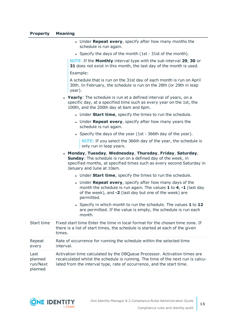#### **Property Meaning**

- **.** Under **Repeat every**, specify after how many months the schedule is run again.
- Specify the days of the month (1st 31st of the month).

NOTE: If the **Monthly** interval type with the sub interval **29**, **30** or **31** does not exist in this month, the last day of the month is used.

Example:

A schedule that is run on the 31st day of each month is run on April 30th. In February, the schedule is run on the 28th (or 29th in leap year).

- **· Yearly**: The schedule is run at a defined interval of years, on a specific day, at a specified time such as every year on the 1st, the 100th, and the 200th day at 6am and 6pm.
	- **.** Under **Start time**, specify the times to run the schedule.
	- **.** Under **Repeat every**, specify after how many years the schedule is run again.
	- Specify the days of the year (1st 366th day of the year).

NOTE: If you select the 366th day of the year, the schedule is only run in leap years.

- <sup>l</sup> **Monday**, **Tuesday**, **Wednesday**, **Thursday**, **Friday**, **Saturday**, **Sunday**: The schedule is run on a defined day of the week, in specified months, at specified times such as every second Saturday in January and June at 10am.
	- **.** Under **Start time**, specify the times to run the schedule.
	- **.** Under **Repeat every**, specify after how many days of the month the schedule is run again. The values **1** to **4**, **-1** (last day of the week), and **-2** (last day but one of the week) are permitted.
	- <sup>l</sup> Specify in which month to run the schedule. The values **1** to **12** are permitted. If the value is empty, the schedule is run each month.

| Start time                             | Fixed start time Enter the time in local format for the chosen time zone. If<br>there is a list of start times, the schedule is started at each of the given<br>times.                                                                |
|----------------------------------------|---------------------------------------------------------------------------------------------------------------------------------------------------------------------------------------------------------------------------------------|
| Repeat<br>every                        | Rate of occurrence for running the schedule within the selected time<br>interval.                                                                                                                                                     |
| Last<br>planned<br>run/Next<br>planned | Activation time calculated by the DBQueue Processor. Activation times are<br>recalculated whilst the schedule is running. The time of the next run is calcu-<br>lated from the interval type, rate of occurrence, and the start time. |

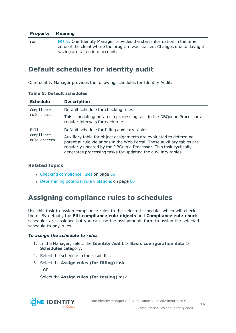### **Property Meaning**

run NOTE: One Identity Manager provides the start information in the time zone of the client where the program was started. Changes due to daylight saving are taken into account.

### <span id="page-15-0"></span>**Default schedules for identity audit**

One Identity Manager provides the following schedules for Identity Audit.

| <b>Schedule</b>            | <b>Description</b>                                                                                                                                                                                                                                                                |
|----------------------------|-----------------------------------------------------------------------------------------------------------------------------------------------------------------------------------------------------------------------------------------------------------------------------------|
| Compliance                 | Default schedule for checking rules.                                                                                                                                                                                                                                              |
| rule check                 | This schedule generates a processing task in the DBQueue Processor at<br>regular intervals for each rule.                                                                                                                                                                         |
| Fill                       | Default schedule for filling auxiliary tables.                                                                                                                                                                                                                                    |
| compliance<br>rule objects | Auxiliary table for object assignments are evaluated to determine<br>potential rule violations in the Web Portal. These auxiliary tables are<br>regularly updated by the DBQueue Processor. This task cyclically<br>generates processing tasks for updating the auxiliary tables. |

### **Table 5: Default schedules**

### **Related topics**

- Checking [compliance](#page-54-1) rules on page 55
- [Determining](#page-65-0) potential rule violations on page 66

### <span id="page-15-1"></span>**Assigning compliance rules to schedules**

Use this task to assign compliance rules to the selected schedule, which will check them. By default, the **Fill compliance rule objects** and **Compliance rule check** schedules are assigned but you can use the assignments form to assign the selected schedule to any rules.

### *To assign the schedule to rules*

- 1. In the Manager, select the **Identity Audit > Basic configuration data > Schedules** category.
- 2. Select the schedule in the result list.
- 3. Select the **Assign rules (for filling)** task.

- OR -

Select the **Assign rules (for testing)** task.



**16**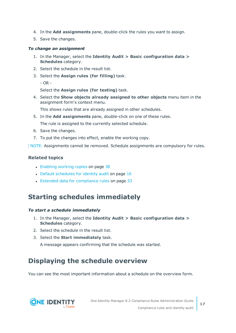- 4. In the **Add assignments** pane, double-click the rules you want to assign.
- 5. Save the changes.

#### *To change an assignment*

- 1. In the Manager, select the **Identity Audit > Basic configuration data > Schedules** category.
- 2. Select the schedule in the result list.
- 3. Select the **Assign rules (for filling)** task.
	- OR -

Select the **Assign rules (for testing)** task.

4. Select the **Show objects already assigned to other objects** menu item in the assignment form's context menu.

This shows rules that are already assigned in other schedules.

5. In the **Add assignments** pane, double-click on one of these rules.

The rule is assigned to the currently selected schedule.

- 6. Save the changes.
- 7. To put the changes into effect, enable the working copy.

NOTE: Assignments cannot be removed. Schedule assignments are compulsory for rules.

### **Related topics**

- [Enabling](#page-37-0) working copies on page 38
- Default [schedules](#page-15-0) for identity audit on page 16
- Extended data for [compliance](#page-32-0) rules on page 33

### <span id="page-16-0"></span>**Starting schedules immediately**

#### *To start a schedule immediately*

- 1. In the Manager, select the **Identity Audit > Basic configuration data > Schedules** category.
- 2. Select the schedule in the result list.
- 3. Select the **Start immediately** task.

A message appears confirming that the schedule was started.

### <span id="page-16-1"></span>**Displaying the schedule overview**

You can see the most important information about a schedule on the overview form.

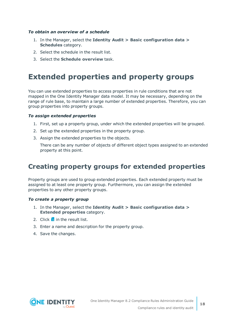### *To obtain an overview of a schedule*

- 1. In the Manager, select the **Identity Audit > Basic configuration data > Schedules** category.
- 2. Select the schedule in the result list.
- <span id="page-17-0"></span>3. Select the **Schedule overview** task.

## **Extended properties and property groups**

You can use extended properties to access properties in rule conditions that are not mapped in the One Identity Manager data model. It may be necessary, depending on the range of rule base, to maintain a large number of extended properties. Therefore, you can group properties into property groups.

### *To assign extended properties*

- 1. First, set up a property group, under which the extended properties will be grouped.
- 2. Set up the extended properties in the property group.
- 3. Assign the extended properties to the objects.

There can be any number of objects of different object types assigned to an extended property at this point.

### <span id="page-17-1"></span>**Creating property groups for extended properties**

Property groups are used to group extended properties. Each extended property must be assigned to at least one property group. Furthermore, you can assign the extended properties to any other property groups.

#### *To create a property group*

- 1. In the Manager, select the **Identity Audit > Basic configuration data > Extended properties** category.
- 2. Click  $\frac{1}{2}$  in the result list.
- 3. Enter a name and description for the property group.
- 4. Save the changes.

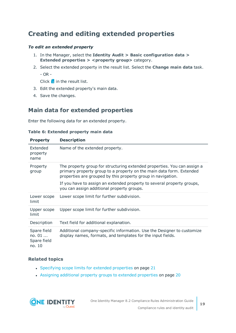### <span id="page-18-0"></span>**Creating and editing extended properties**

### *To edit an extended property*

- 1. In the Manager, select the **Identity Audit > Basic configuration data > Extended properties > <property group>** category.
- 2. Select the extended property in the result list. Select the **Change main data** task.

- OR -

Click  $\frac{1}{x}$  in the result list.

- 3. Edit the extended property's main data.
- <span id="page-18-1"></span>4. Save the changes.

### **Main data for extended properties**

Enter the following data for an extended property.

### **Table 6: Extended property main data**

| <b>Property</b>                                  | <b>Description</b>                                                                                                                                                                                               |
|--------------------------------------------------|------------------------------------------------------------------------------------------------------------------------------------------------------------------------------------------------------------------|
| Extended<br>property<br>name                     | Name of the extended property.                                                                                                                                                                                   |
| Property<br>group                                | The property group for structuring extended properties. You can assign a<br>primary property group to a property on the main data form. Extended<br>properties are grouped by this property group in navigation. |
|                                                  | If you have to assign an extended property to several property groups,<br>you can assign additional property groups.                                                                                             |
| Lower scope<br>limit                             | Lower scope limit for further subdivision.                                                                                                                                                                       |
| Upper scope<br>limit                             | Upper scope limit for further subdivision.                                                                                                                                                                       |
| Description                                      | Text field for additional explanation.                                                                                                                                                                           |
| Spare field<br>no. $01$<br>Spare field<br>no. 10 | Additional company-specific information. Use the Designer to customize<br>display names, formats, and templates for the input fields.                                                                            |

### **Related topics**

- [Specifying](#page-20-0) scope limits for extended properties on page 21
- Assigning additional property groups to extended [properties](#page-19-1) on page 20

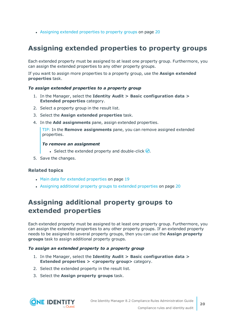• Assigning extended [properties](#page-19-0) to property groups on page 20

### <span id="page-19-0"></span>**Assigning extended properties to property groups**

Each extended property must be assigned to at least one property group. Furthermore, you can assign the extended properties to any other property groups.

If you want to assign more properties to a property group, use the **Assign extended properties** task.

#### *To assign extended properties to a property group*

- 1. In the Manager, select the **Identity Audit > Basic configuration data > Extended properties** category.
- 2. Select a property group in the result list.
- 3. Select the **Assign extended properties** task.
- 4. In the **Add assignments** pane, assign extended properties.

TIP: In the **Remove assignments** pane, you can remove assigned extended properties.

### *To remove an assignment*

- **Select the extended property and double-click**  $\odot$ **.**
- 5. Save the changes.

### **Related topics**

- Main data for extended [properties](#page-18-1) on page 19
- <sup>l</sup> Assigning additional property groups to extended [properties](#page-19-1) on page 20

### <span id="page-19-1"></span>**Assigning additional property groups to extended properties**

Each extended property must be assigned to at least one property group. Furthermore, you can assign the extended properties to any other property groups. If an extended property needs to be assigned to several property groups, then you can use the **Assign property groups** task to assign additional property groups.

#### *To assign an extended property to a property group*

- 1. In the Manager, select the **Identity Audit > Basic configuration data > Extended properties > <property group>** category.
- 2. Select the extended property in the result list.
- 3. Select the **Assign property groups** task.

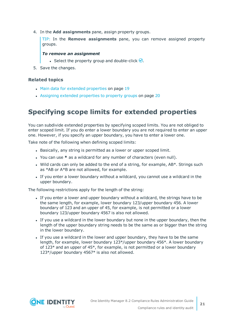4. In the **Add assignments** pane, assign property groups.

TIP: In the **Remove assignments** pane, you can remove assigned property groups.

### *To remove an assignment*

- Select the property group and double-click  $\odot$ .
- 5. Save the changes.

### **Related topics**

- Main data for extended [properties](#page-18-1) on page 19
- Assigning extended [properties](#page-19-0) to property groups on page 20

### <span id="page-20-0"></span>**Specifying scope limits for extended properties**

You can subdivide extended properties by specifying scoped limits. You are not obliged to enter scoped limit. If you do enter a lower boundary you are not required to enter an upper one. However, if you specify an upper boundary, you have to enter a lower one.

Take note of the following when defining scoped limits:

- Basically, any string is permitted as a lower or upper scoped limit.
- <sup>l</sup> You can use **\*** as a wildcard for any number of characters (even null).
- $\bullet$  Wild cards can only be added to the end of a string, for example, AB\*. Strings such as \*AB or A\*B are not allowed, for example.
- If you enter a lower boundary without a wildcard, you cannot use a wildcard in the upper boundary.

The following restrictions apply for the length of the string:

- If you enter a lower and upper boundary without a wildcard, the strings have to be the same length, for example, lower boundary 123/upper boundary 456. A lower boundary of 123 and an upper of 45, for example, is not permitted or a lower boundary 123/upper boundary 4567 is also not allowed.
- If you use a wildcard in the lower boundary but none in the upper boundary, then the length of the upper boundary string needs to be the same as or bigger than the string in the lower boundary.
- If you use a wildcard in the lower and upper boundary, they have to be the same length, for example, lower boundary 123\*/upper boundary 456\*. A lower boundary of  $123*$  and an upper of  $45*$ , for example, is not permitted or a lower boundary 123\*/upper boundary 4567\* is also not allowed.



**21**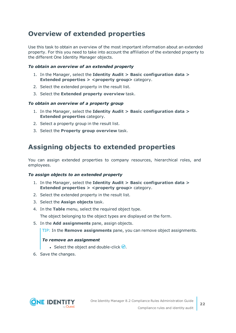### <span id="page-21-0"></span>**Overview of extended properties**

Use this task to obtain an overview of the most important information about an extended property. For this you need to take into account the affiliation of the extended property to the different One Identity Manager objects.

### *To obtain an overview of an extended property*

- 1. In the Manager, select the **Identity Audit > Basic configuration data > Extended properties > <property group>** category.
- 2. Select the extended property in the result list.
- 3. Select the **Extended property overview** task.

### *To obtain an overview of a property group*

- 1. In the Manager, select the **Identity Audit > Basic configuration data > Extended properties** category.
- 2. Select a property group in the result list.
- <span id="page-21-1"></span>3. Select the **Property group overview** task.

### **Assigning objects to extended properties**

You can assign extended properties to company resources, hierarchical roles, and employees.

#### *To assign objects to an extended property*

- 1. In the Manager, select the **Identity Audit > Basic configuration data > Extended properties > <property group>** category.
- 2. Select the extended property in the result list.
- 3. Select the **Assign objects** task.
- 4. In the **Table** menu, select the required object type.

The object belonging to the object types are displayed on the form.

5. In the **Add assignments** pane, assign objects.

TIP: In the **Remove assignments** pane, you can remove object assignments.

### *To remove an assignment*

- **Select the object and double-click**  $\odot$ **.**
- 6. Save the changes.

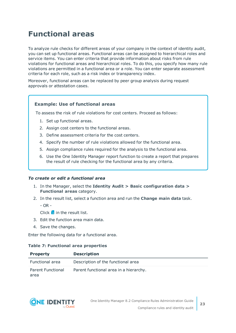## <span id="page-22-0"></span>**Functional areas**

To analyze rule checks for different areas of your company in the context of identity audit, you can set up functional areas. Functional areas can be assigned to hierarchical roles and service items. You can enter criteria that provide information about risks from rule violations for functional areas and hierarchical roles. To do this, you specify how many rule violations are permitted in a functional area or a role. You can enter separate assessment criteria for each role, such as a risk index or transparency index.

Moreover, functional areas can be replaced by peer group analysis during request approvals or attestation cases.

### **Example: Use of functional areas**

To assess the risk of rule violations for cost centers. Proceed as follows:

- 1. Set up functional areas.
- 2. Assign cost centers to the functional areas.
- 3. Define assessment criteria for the cost centers.
- 4. Specify the number of rule violations allowed for the functional area.
- 5. Assign compliance rules required for the analysis to the functional area.
- 6. Use the One Identity Manager report function to create a report that prepares the result of rule checking for the functional area by any criteria.

### *To create or edit a functional area*

- 1. In the Manager, select the **Identity Audit > Basic configuration data > Functional areas** category.
- 2. In the result list, select a function area and run the **Change main data** task.

- OR -

Click  $\mathbf{t}$  in the result list.

- 3. Edit the function area main data.
- 4. Save the changes.

Enter the following data for a functional area.

#### **Table 7: Functional area properties**

| <b>Property</b>                  | <b>Description</b>                     |
|----------------------------------|----------------------------------------|
| <b>Functional area</b>           | Description of the functional area     |
| <b>Parent Functional</b><br>area | Parent functional area in a hierarchy. |

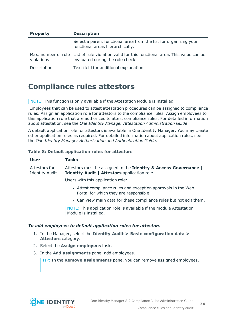| <b>Property</b> | <b>Description</b>                                                                                                               |  |  |
|-----------------|----------------------------------------------------------------------------------------------------------------------------------|--|--|
|                 | Select a parent functional area from the list for organizing your<br>functional areas hierarchically.                            |  |  |
| violations      | Max, number of rule List of rule violation valid for this functional area. This value can be<br>evaluated during the rule check. |  |  |
| Description     | Text field for additional explanation.                                                                                           |  |  |

### <span id="page-23-0"></span>**Compliance rules attestors**

NOTE: This function is only available if the Attestation Module is installed.

Employees that can be used to attest attestation procedures can be assigned to compliance rules. Assign an application role for attestors to the compliance rules. Assign employees to this application role that are authorized to attest compliance rules. For detailed information about attestation, see the *One Identity Manager Attestation Administration Guide*.

A default application role for attestors is available in One Identity Manager. You may create other application roles as required. For detailed information about application roles, see the *One Identity Manager Authorization and Authentication Guide*.

### **Table 8: Default application roles for attestors**

| <b>User</b>                            | <b>Tasks</b>                                                                                                     |
|----------------------------------------|------------------------------------------------------------------------------------------------------------------|
| Attestors for<br><b>Identity Audit</b> | Attestors must be assigned to the Identity & Access Governance  <br>Identity Audit   Attestors application role. |
|                                        | Users with this application role:                                                                                |
|                                        | • Attest compliance rules and exception approvals in the Web<br>Portal for which they are responsible.           |
|                                        | • Can view main data for these compliance rules but not edit them.                                               |
|                                        | NOTE: This application role is available if the module Attestation<br>Module is installed.                       |

### *To add employees to default application roles for attestors*

- 1. In the Manager, select the **Identity Audit > Basic configuration data > Attestors** category.
- 2. Select the **Assign employees** task.
- 3. In the **Add assignments** pane, add employees.

TIP: In the **Remove assignments** pane, you can remove assigned employees.

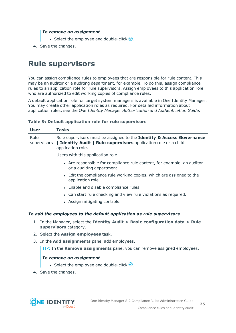### *To remove an assignment*

- Select the employee and double-click  $\bigcirc$ .
- <span id="page-24-0"></span>4. Save the changes.

## **Rule supervisors**

You can assign compliance rules to employees that are responsible for rule content. This may be an auditor or a auditing department, for example. To do this, assign compliance rules to an application role for rule supervisors. Assign employees to this application role who are authorized to edit working copies of compliance rules.

A default application role for target system managers is available in One Identity Manager. You may create other application roles as required. For detailed information about application roles, see the *One Identity Manager Authorization and Authentication Guide*.

### **Table 9: Default application role for rule supervisors**

| <b>User</b>         |                                                                                                         | <b>Tasks</b>                                                                                                                                                  |  |  |
|---------------------|---------------------------------------------------------------------------------------------------------|---------------------------------------------------------------------------------------------------------------------------------------------------------------|--|--|
| Rule<br>supervisors |                                                                                                         | Rule supervisors must be assigned to the Identity & Access Governance<br>  Identity Audit   Rule supervisors application role or a child<br>application role. |  |  |
|                     |                                                                                                         | Users with this application role:                                                                                                                             |  |  |
|                     |                                                                                                         | • Are responsible for compliance rule content, for example, an auditor<br>or a auditing department.                                                           |  |  |
|                     |                                                                                                         | • Edit the compliance rule working copies, which are assigned to the<br>application role.                                                                     |  |  |
|                     |                                                                                                         | • Enable and disable compliance rules.                                                                                                                        |  |  |
|                     |                                                                                                         | • Can start rule checking and view rule violations as required.                                                                                               |  |  |
|                     |                                                                                                         | • Assign mitigating controls.                                                                                                                                 |  |  |
|                     |                                                                                                         | To add the employees to the default application as rule supervisors                                                                                           |  |  |
|                     | 1. In the Manager, select the Identity Audit > Basic configuration data > Rule<br>supervisors category. |                                                                                                                                                               |  |  |
|                     | 2. Select the <b>Assign employees</b> task.                                                             |                                                                                                                                                               |  |  |
|                     |                                                                                                         | 3. In the <b>Add assignments</b> pane, add employees.                                                                                                         |  |  |
|                     |                                                                                                         | TIP: In the Remove assignments pane, you can remove assigned employees.                                                                                       |  |  |
|                     |                                                                                                         | To remove an assignment<br>• Select the employee and double-click $\bigcirc$ .                                                                                |  |  |

4. Save the changes.

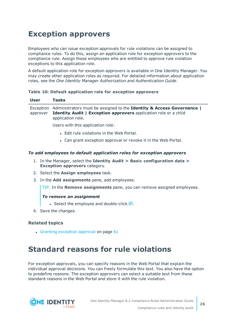## <span id="page-25-0"></span>**Exception approvers**

Employees who can issue exception approvals for rule violations can be assigned to compliance rules. To do this, assign an application role for exception approvers to the compliance rule. Assign those employees who are entitled to approve rule violation exceptions to this application role.

A default application role for exception approvers is available in One Identity Manager. You may create other application roles as required. For detailed information about application roles, see the *One Identity Manager Authorization and Authentication Guide*.

### **Table 10: Default application role for exception approvers**

| <b>User</b> | <b>Tasks</b>                                                                                                                                                                    |
|-------------|---------------------------------------------------------------------------------------------------------------------------------------------------------------------------------|
| approver    | Exception Administrators must be assigned to the Identity & Access Governance  <br><b>Identity Audit   Exception approvers</b> application role or a child<br>application role. |
|             | Users with this application role:                                                                                                                                               |
|             | • Edit rule violations in the Web Portal.                                                                                                                                       |
|             | • Can grant exception approval or revoke it in the Web Portal.                                                                                                                  |

### *To add employees to default application roles for exception approvers*

- 1. In the Manager, select the **Identity Audit > Basic configuration data > Exception approvers** category.
- 2. Select the **Assign employees** task.
- 3. In the **Add assignments** pane, add employees.

TIP: In the **Remove assignments** pane, you can remove assigned employees.

### *To remove an assignment*

- **Select the employee and double-click**  $\bigcirc$ **.**
- 4. Save the changes.

### **Related topics**

 $\cdot$  Granting [exception](#page-60-0) approval on page 61

## <span id="page-25-1"></span>**Standard reasons for rule violations**

For exception approvals, you can specify reasons in the Web Portal that explain the individual approval decisions. You can freely formulate this text. You also have the option to predefine reasons. The exception approvers can select a suitable text from these standard reasons in the Web Portal and store it with the rule violation.

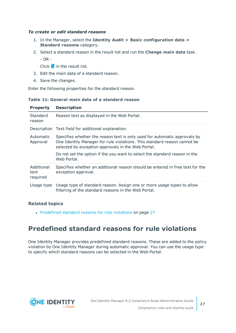### *To create or edit standard reasons*

- 1. In the Manager, select the **Identity Audit > Basic configuration data > Standard reasons** category.
- 2. Select a standard reason in the result list and run the **Change main data** task.
	- OR -

Click  $\mathbf{t}$  in the result list.

- 3. Edit the main data of a standard reason.
- 4. Save the changes.

Enter the following properties for the standard reason.

### **Table 11: General main data of a standard reason**

| <b>Property</b>       | <b>Description</b>                                                                                                                                                                                                                                                                                       |
|-----------------------|----------------------------------------------------------------------------------------------------------------------------------------------------------------------------------------------------------------------------------------------------------------------------------------------------------|
| Standard<br>reason    | Reason text as displayed in the Web Portal.                                                                                                                                                                                                                                                              |
|                       | Description Text field for additional explanation.                                                                                                                                                                                                                                                       |
| Automatic<br>Approval | Specifies whether the reason text is only used for automatic approvals by<br>One Identity Manager for rule violations. This standard reason cannot be<br>selected by exception approvals in the Web Portal.<br>Do not set the option if the you want to select the standard reason in the<br>Web Portal. |
| Additional            | Specifies whether an additional reason should be entered in free text for the                                                                                                                                                                                                                            |
| text<br>required      | exception approval.                                                                                                                                                                                                                                                                                      |
| Usage type            | Usage type of standard reason. Assign one or more usage types to allow<br>filtering of the standard reasons in the Web Portal.                                                                                                                                                                           |

### **Related topics**

• [Predefined](#page-26-0) standard reasons for rule violations on page 27

### <span id="page-26-0"></span>**Predefined standard reasons for rule violations**

One Identity Manager provides predefined standard reasons. These are added to the policy violation by One Identity Manager during automatic approval. You can use the usage type to specify which standard reasons can be selected in the Web Portal.

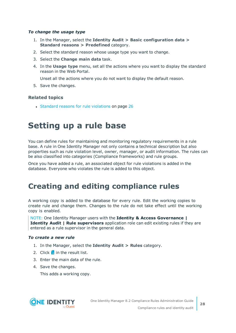### *To change the usage type*

- 1. In the Manager, select the **Identity Audit > Basic configuration data > Standard reasons > Predefined** category.
- 2. Select the standard reason whose usage type you want to change.
- 3. Select the **Change main data** task.
- 4. In the **Usage type** menu, set all the actions where you want to display the standard reason in the Web Portal.

Unset all the actions where you do not want to display the default reason.

5. Save the changes.

### **Related topics**

<span id="page-27-0"></span>• Standard reasons for rule [violations](#page-25-1) on page 26

## **Setting up a rule base**

You can define rules for maintaining and monitoring regulatory requirements in a rule base. A rule in One Identity Manager not only contains a technical description but also properties such as rule violation level, owner, manager, or audit information. The rules can be also classified into categories (Compliance frameworks) and rule groups.

Once you have added a rule, an associated object for rule violations is added in the database. Everyone who violates the rule is added to this object.

## <span id="page-27-1"></span>**Creating and editing compliance rules**

A working copy is added to the database for every rule. Edit the working copies to create rule and change them. Changes to the rule do not take effect until the working copy is enabled.

NOTE: One Identity Manager users with the **Identity & Access Governance | Identity Audit | Rule supervisors** application role can edit existing rules if they are entered as a rule supervisor in the general data.

#### *To create a new rule*

- 1. In the Manager, select the **Identity Audit > Rules** category.
- 2. Click  $\mathbf{r}$  in the result list.
- 3. Enter the main data of the rule.
- 4. Save the changes.

This adds a working copy.

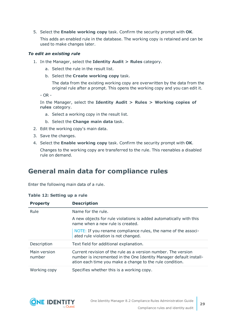5. Select the **Enable working copy** task. Confirm the security prompt with **OK**.

This adds an enabled rule in the database. The working copy is retained and can be used to make changes later.

### *To edit an existing rule*

- 1. In the Manager, select the **Identity Audit > Rules** category.
	- a. Select the rule in the result list.
	- b. Select the **Create working copy** task.

The data from the existing working copy are overwritten by the data from the original rule after a prompt. This opens the working copy and you can edit it.

- OR -

In the Manager, select the **Identity Audit > Rules > Working copies of rules** category.

- a. Select a working copy in the result list.
- b. Select the **Change main data** task.
- 2. Edit the working copy's main data.
- 3. Save the changes.
- 4. Select the **Enable working copy** task. Confirm the security prompt with **OK**.

Changes to the working copy are transferred to the rule. This reenables a disabled rule on demand.

### <span id="page-28-0"></span>**General main data for compliance rules**

Enter the following main data of a rule.

|  |  | Table 12: Setting up a rule |  |  |  |
|--|--|-----------------------------|--|--|--|
|--|--|-----------------------------|--|--|--|

| <b>Property</b>        | <b>Description</b>                                                                                                                                                                              |
|------------------------|-------------------------------------------------------------------------------------------------------------------------------------------------------------------------------------------------|
| Rule                   | Name for the rule.                                                                                                                                                                              |
|                        | A new objects for rule violations is added automatically with this<br>name when a new rule is created.                                                                                          |
|                        | NOTE: If you rename compliance rules, the name of the associ-<br>ated rule violation is not changed.                                                                                            |
| Description            | Text field for additional explanation.                                                                                                                                                          |
| Main version<br>number | Current revision of the rule as a version number. The version<br>number is incremented in the One Identity Manager default install-<br>ation each time you make a change to the rule condition. |
| Working copy           | Specifies whether this is a working copy.                                                                                                                                                       |

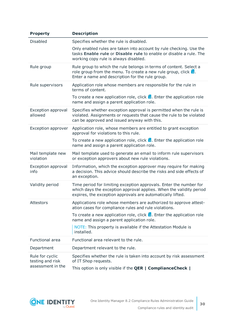| <b>Property</b>                      | <b>Description</b>                                                                                                                                                                                      |
|--------------------------------------|---------------------------------------------------------------------------------------------------------------------------------------------------------------------------------------------------------|
| <b>Disabled</b>                      | Specifies whether the rule is disabled.                                                                                                                                                                 |
|                                      | Only enabled rules are taken into account by rule checking. Use the<br>tasks Enable rule or Disable rule to enable or disable a rule. The<br>working copy rule is always disabled.                      |
| Rule group                           | Rule group to which the rule belongs in terms of content. Select a<br>role group from the menu. To create a new rule group, click $\frac{1}{2}$ .<br>Enter a name and description for the rule group.   |
| Rule supervisors                     | Application role whose members are responsible for the rule in<br>terms of content.                                                                                                                     |
|                                      | To create a new application role, click $\frac{1}{x}$ . Enter the application role<br>name and assign a parent application role.                                                                        |
| <b>Exception approval</b><br>allowed | Specifies whether exception approval is permitted when the rule is<br>violated. Assignments or requests that cause the rule to be violated<br>can be approved and issued anyway with this.              |
| <b>Exception approver</b>            | Application role, whose members are entitled to grant exception<br>approval for violations to this rule.                                                                                                |
|                                      | To create a new application role, click $\frac{1}{x}$ . Enter the application role<br>name and assign a parent application role.                                                                        |
| Mail template new<br>violation       | Mail template used to generate an email to inform rule supervisors<br>or exception approvers about new rule violations.                                                                                 |
| <b>Exception approval</b><br>info    | Information, which the exception approver may require for making<br>a decision. This advice should describe the risks and side effects of<br>an exception.                                              |
| Validity period                      | Time period for limiting exception approvals. Enter the number for<br>which days the exception approval applies. When the validity period<br>expires, the exception approvals are automatically lifted. |
| Attestors                            | Applications role whose members are authorized to approve attest-<br>ation cases for compliance rules and rule violations.                                                                              |
|                                      | To create a new application role, click $\frac{1}{x}$ . Enter the application role<br>name and assign a parent application role.                                                                        |
|                                      | NOTE: This property is available if the Attestation Module is<br>installed.                                                                                                                             |
| Functional area                      | Functional area relevant to the rule.                                                                                                                                                                   |
| Department                           | Department relevant to the rule.                                                                                                                                                                        |
| Rule for cyclic<br>testing and risk  | Specifies whether the rule is taken into account by risk assessment<br>of IT Shop requests.                                                                                                             |
| assessment in the                    | This option is only visible if the <b>QER   ComplianceCheck</b>                                                                                                                                         |

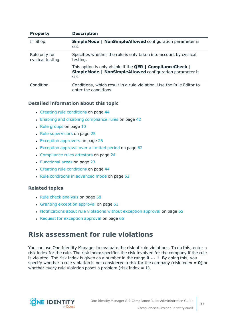| <b>Property</b>                   | <b>Description</b>                                                                                                                                  |
|-----------------------------------|-----------------------------------------------------------------------------------------------------------------------------------------------------|
| IT Shop.                          | <b>SimpleMode   NonSimpleAllowed</b> configuration parameter is<br>set.                                                                             |
| Rule only for<br>cyclical testing | Specifies whether the rule is only taken into account by cyclical<br>testing.                                                                       |
|                                   | This option is only visible if the <b>QER</b>   <b>ComplianceCheck</b>  <br><b>SimpleMode   NonSimpleAllowed configuration parameter is</b><br>set. |
| Condition                         | Conditions, which result in a rule violation. Use the Rule Editor to<br>enter the conditions.                                                       |

### **Detailed information about this topic**

- Creating rule [conditions](#page-43-1) on page 44
- Enabling and disabling [compliance](#page-41-3) rules on page 42
- $\cdot$  Rule [groups](#page-9-0) on page 10
- $\cdot$  Rule [supervisors](#page-24-0) on page 25
- $\cdot$  Exception [approvers](#page-25-0) on page 26
- $\bullet$  [Exception](#page-61-0) approval over a limited period on page 62
- [Compliance](#page-23-0) rules attestors on page 24
- [Functional](#page-22-0) areas on page 23
- Creating rule [conditions](#page-43-1) on page 44
- Rule [conditions](#page-51-0) in advanced mode on page 52

### **Related topics**

- $\cdot$  Rule check [analysis](#page-57-0) on page 58
- $\cdot$  Granting [exception](#page-60-0) approval on page 61
- [Notifications](#page-64-1) about rule violations without exception approval on page  $65$
- $\cdot$  Request for [exception](#page-64-0) approval on page 65

### <span id="page-30-0"></span>**Risk assessment for rule violations**

You can use One Identity Manager to evaluate the risk of rule violations. To do this, enter a risk index for the rule. The risk index specifies the risk involved for the company if the rule is violated. The risk index is given as a number in the range **0 ... 1**. By doing this, you specify whether a rule violation is not considered a risk for the company (risk index = **0**) or whether every rule violation poses a problem (risk index  $= 1$ ).

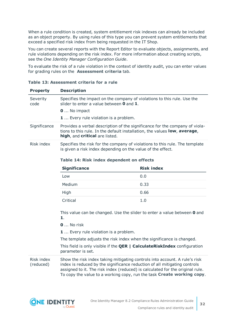When a rule condition is created, system entitlement risk indexes can already be included as an object property. By using rules of this type you can prevent system entitlements that exceed a specified risk index from being requested in the IT Shop.

You can create several reports with the Report Editor to evaluate objects, assignments, and rule violations depending on the risk index. For more information about creating scripts, see the *One Identity Manager Configuration Guide*.

To evaluate the risk of a rule violation in the context of identity audit, you can enter values for grading rules on the **Assessment criteria** tab.

| <b>Property</b>         | <b>Description</b>                                                                                                                                                                                                                                                                                                 |                   |  |
|-------------------------|--------------------------------------------------------------------------------------------------------------------------------------------------------------------------------------------------------------------------------------------------------------------------------------------------------------------|-------------------|--|
| Severity<br>code        | Specifies the impact on the company of violations to this rule. Use the<br>slider to enter a value between $\bm{0}$ and $\bm{1}$ .                                                                                                                                                                                 |                   |  |
|                         | <b>0</b> No impact                                                                                                                                                                                                                                                                                                 |                   |  |
|                         | 1  Every rule violation is a problem.                                                                                                                                                                                                                                                                              |                   |  |
| Significance            | Provides a verbal description of the significance for the company of viola-<br>tions to this rule. In the default installation, the values low, average,<br>high, and critical are listed.                                                                                                                         |                   |  |
| Risk index              | Specifies the risk for the company of violations to this rule. The template<br>is given a risk index depending on the value of the effect.                                                                                                                                                                         |                   |  |
|                         | Table 14: Risk index dependent on effects                                                                                                                                                                                                                                                                          |                   |  |
|                         | <b>Significance</b>                                                                                                                                                                                                                                                                                                | <b>Risk index</b> |  |
|                         | Low                                                                                                                                                                                                                                                                                                                | 0.0               |  |
|                         | Medium                                                                                                                                                                                                                                                                                                             | 0.33              |  |
|                         | High                                                                                                                                                                                                                                                                                                               | 0.66              |  |
|                         | Critical                                                                                                                                                                                                                                                                                                           | 1.0               |  |
|                         | This value can be changed. Use the slider to enter a value between 0 and<br>1.                                                                                                                                                                                                                                     |                   |  |
|                         | $\mathbf 0$ No risk                                                                                                                                                                                                                                                                                                |                   |  |
|                         | <b>1</b> Every rule violation is a problem.                                                                                                                                                                                                                                                                        |                   |  |
|                         | The template adjusts the risk index when the significance is changed.                                                                                                                                                                                                                                              |                   |  |
|                         | This field is only visible if the <b>QER   CalculateRiskIndex</b> configuration<br>parameter is set.                                                                                                                                                                                                               |                   |  |
| Risk index<br>(reduced) | Show the risk index taking mitigating controls into account. A rule's risk<br>index is reduced by the significance reduction of all mitigating controls<br>assigned to it. The risk index (reduced) is calculated for the original rule.<br>To copy the value to a working copy, run the task Create working copy. |                   |  |

**Table 13: Assessment criteria for a rule**

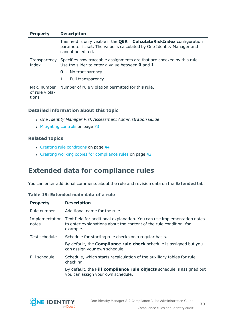| <b>Property</b>                        | <b>Description</b>                                                                                                                                                            |
|----------------------------------------|-------------------------------------------------------------------------------------------------------------------------------------------------------------------------------|
|                                        | This field is only visible if the <b>QER   CalculateRiskIndex</b> configuration<br>parameter is set. The value is calculated by One Identity Manager and<br>cannot be edited. |
| Transparency<br>index                  | Specifies how traceable assignments are that are checked by this rule.<br>Use the slider to enter a value between $\bm{0}$ and $\bm{1}$ .                                     |
|                                        | <b>0</b> No transparency                                                                                                                                                      |
|                                        | <b>1</b> Full transparency                                                                                                                                                    |
| Max. number<br>of rule viola-<br>tions | Number of rule violation permitted for this rule.                                                                                                                             |

### **Detailed information about this topic**

- <sup>l</sup> *One Identity Manager Risk Assessment Administration Guide*
- [Mitigating](#page-72-0) controls on page 73

### **Related topics**

- Creating rule [conditions](#page-43-1) on page 44
- Creating working copies for [compliance](#page-41-2) rules on page 42

### <span id="page-32-0"></span>**Extended data for compliance rules**

You can enter additional comments about the rule and revision data on the **Extended** tab.

### **Table 15: Extended main data of a rule**

| <b>Property</b> | <b>Description</b>                                                                                                                                                       |
|-----------------|--------------------------------------------------------------------------------------------------------------------------------------------------------------------------|
| Rule number     | Additional name for the rule.                                                                                                                                            |
| notes           | Implementation Text field for additional explanation. You can use implementation notes<br>to enter explanations about the content of the rule condition, for<br>example. |
| Test schedule   | Schedule for starting rule checks on a regular basis.                                                                                                                    |
|                 | By default, the <b>Compliance rule check</b> schedule is assigned but you<br>can assign your own schedule.                                                               |
| Fill schedule   | Schedule, which starts recalculation of the auxiliary tables for rule<br>checking.                                                                                       |
|                 | By default, the Fill compliance rule objects schedule is assigned but<br>you can assign your own schedule.                                                               |

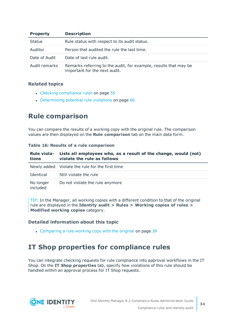| <b>Property</b> | <b>Description</b>                                                                                |
|-----------------|---------------------------------------------------------------------------------------------------|
| <b>Status</b>   | Rule status with respect to its audit status.                                                     |
| Auditor         | Person that audited the rule the last time.                                                       |
| Date of Audit   | Date of last rule audit.                                                                          |
| Audit remarks   | Remarks referring to the audit, for example, results that may be<br>important for the next audit. |

### **Related topics**

- Checking [compliance](#page-54-1) rules on page 55
- [Determining](#page-65-0) potential rule violations on page 66

### <span id="page-33-0"></span>**Rule comparison**

You can compare the results of a working copy with the original rule. The comparison values are then displayed on the **Rule comparison** tab on the main data form.

#### **Table 16: Results of a rule comparison**

| <b>Rule viola-</b><br>tions | Lists all employees who, as a result of the change, would (not)<br>violate the rule as follows |
|-----------------------------|------------------------------------------------------------------------------------------------|
|                             | Newly added Violate the rule for the first time                                                |
| Identical                   | Still violate the rule                                                                         |
| No longer<br>included       | Do not violate the rule anymore                                                                |

TIP: In the Manager, all working copies with a different condition to that of the original rule are displayed in the **Identity audit > Rules > Working copies of rules > Modified working copies** category.

### **Detailed information about this topic**

• [Comparing](#page-38-2) a rule working copy with the original on page 39

### <span id="page-33-1"></span>**IT Shop properties for compliance rules**

You can integrate checking requests for rule compliance into approval workflows in the IT Shop. On the **IT Shop properties** tab, specify how violations of this rule should be handled within an approval process for IT Shop requests.

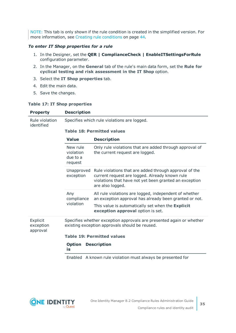NOTE: This tab is only shown if the rule condition is created in the simplified version. [For](#page-43-1) more [information,](#page-43-1) see Creating rule conditions on page 44.

### *To enter IT Shop properties for a rule*

- 1. In the Designer, set the **QER | ComplianceCheck | EnableITSettingsForRule** configuration parameter.
- 2. In the Manager, on the **General** tab of the rule's main data form, set the **Rule for cyclical testing and risk assessment in the IT Shop** option.
- 3. Select the **IT Shop properties** tab.
- 4. Edit the main data.
- 5. Save the changes.

#### **Table 17: IT Shop properties**

| <b>Property</b>                   | <b>Description</b>                           |                                                                                                                                                                                        |  |
|-----------------------------------|----------------------------------------------|----------------------------------------------------------------------------------------------------------------------------------------------------------------------------------------|--|
| Rule violation<br>identified      | Specifies which rule violations are logged.  |                                                                                                                                                                                        |  |
|                                   | <b>Table 18: Permitted values</b>            |                                                                                                                                                                                        |  |
|                                   | <b>Value</b>                                 | <b>Description</b>                                                                                                                                                                     |  |
|                                   | New rule<br>violation<br>due to a<br>request | Only rule violations that are added through approval of<br>the current request are logged.                                                                                             |  |
|                                   | Unapproved<br>exception                      | Rule violations that are added through approval of the<br>current request are logged. Already known rule<br>violations that have not yet been granted an exception<br>are also logged. |  |
|                                   | Any<br>compliance<br>violation               | All rule violations are logged, independent of whether<br>an exception approval has already been granted or not.                                                                       |  |
|                                   |                                              | This value is automatically set when the Explicit<br>exception approval option is set.                                                                                                 |  |
| Explicit<br>exception<br>approval |                                              | Specifies whether exception approvals are presented again or whether<br>existing exception approvals should be reused.                                                                 |  |
|                                   |                                              | <b>Table 19: Permitted values</b>                                                                                                                                                      |  |
|                                   | <b>Option</b><br>is                          | <b>Description</b>                                                                                                                                                                     |  |
|                                   |                                              | Enabled A known rule violation must always be presented for                                                                                                                            |  |

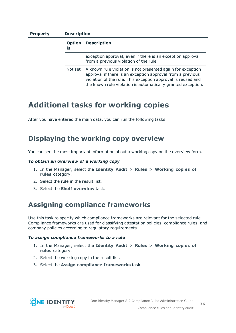### **Property Description**

| is | <b>Option</b> | <b>Description</b>                                                                                                                                                                                                                                        |
|----|---------------|-----------------------------------------------------------------------------------------------------------------------------------------------------------------------------------------------------------------------------------------------------------|
|    |               | exception approval, even if there is an exception approval<br>from a previous violation of the rule.                                                                                                                                                      |
|    | Not set       | A known rule violation is not presented again for exception<br>approval if there is an exception approval from a previous<br>violation of the rule. This exception approval is reused and<br>the known rule violation is automatically granted exception. |

### <span id="page-35-0"></span>**Additional tasks for working copies**

After you have entered the main data, you can run the following tasks.

### <span id="page-35-1"></span>**Displaying the working copy overview**

You can see the most important information about a working copy on the overview form.

#### *To obtain an overview of a working copy*

- 1. In the Manager, select the **Identity Audit > Rules > Working copies of rules** category.
- 2. Select the rule in the result list.
- <span id="page-35-2"></span>3. Select the **Shelf overview** task.

### **Assigning compliance frameworks**

Use this task to specify which compliance frameworks are relevant for the selected rule. Compliance frameworks are used for classifying attestation policies, compliance rules, and company policies according to regulatory requirements.

#### *To assign compliance frameworks to a rule*

- 1. In the Manager, select the **Identity Audit > Rules > Working copies of rules** category.
- 2. Select the working copy in the result list.
- 3. Select the **Assign compliance frameworks** task.

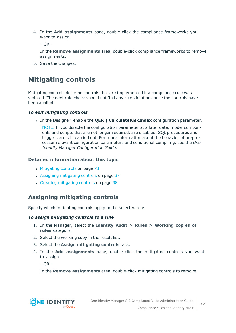4. In the **Add assignments** pane, double-click the compliance frameworks you want to assign.

 $-$  OR  $-$ 

In the **Remove assignments** area, double-click compliance frameworks to remove assignments.

5. Save the changes.

### **Mitigating controls**

Mitigating controls describe controls that are implemented if a compliance rule was violated. The next rule check should not find any rule violations once the controls have been applied.

### *To edit mitigating controls*

<sup>l</sup> In the Designer, enable the **QER | CalculateRiskIndex** configuration parameter.

NOTE: If you disable the configuration parameter at a later date, model components and scripts that are not longer required, are disabled. SQL procedures and triggers are still carried out. For more information about the behavior of preprocessor relevant configuration parameters and conditional compiling, see the *One Identity Manager Configuration Guide*.

### **Detailed information about this topic**

- [Mitigating](#page-72-0) controls on page 73
- Assigning [mitigating](#page-36-0) controls on page 37
- Creating [mitigating](#page-37-0) controls on page 38

### <span id="page-36-0"></span>**Assigning mitigating controls**

Specify which mitigating controls apply to the selected role.

### *To assign mitigating controls to a rule*

- 1. In the Manager, select the **Identity Audit > Rules > Working copies of rules** category.
- 2. Select the working copy in the result list.
- 3. Select the **Assign mitigating controls** task.
- 4. In the **Add assignments** pane, double-click the mitigating controls you want to assign.

 $-$  OR  $-$ 

In the **Remove assignments** area, double-click mitigating controls to remove

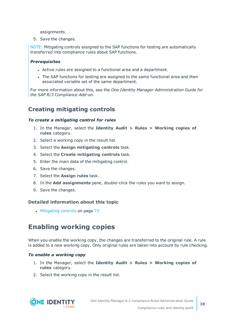assignments.

5. Save the changes.

NOTE: Mitigating controls assigned to the SAP functions for testing are automatically transferred into compliance rules about SAP functions.

### *Prerequisites*

- Active rules are assigned to a functional area and a department.
- The SAP functions for testing are assigned to the same functional area and then associated variable set of the same department.

For more information about this, see the *One Identity Manager Administration Guide for the SAP R/3 Compliance Add-on*.

### <span id="page-37-0"></span>**Creating mitigating controls**

### *To create a mitigating control for rules*

- 1. In the Manager, select the **Identity Audit > Rules > Working copies of rules** category.
- 2. Select a working copy in the result list.
- 3. Select the **Assign mitigating controls** task.
- 4. Select the **Create mitigating controls** task.
- 5. Enter the main data of the mitigating control.
- 6. Save the changes.
- 7. Select the **Assign rules** task.
- 8. In the **Add assignments** pane, double-click the rules you want to assign.
- 9. Save the changes.

### **Detailed information about this topic**

• [Mitigating](#page-72-0) controls on page 73

### **Enabling working copies**

When you enable the working copy, the changes are transferred to the original rule. A rule is added to a new working copy. Only original rules are taken into account by rule checking.

#### *To enable a working copy*

- 1. In the Manager, select the **Identity Audit > Rules > Working copies of rules** category.
- 2. Select the working copy in the result list.

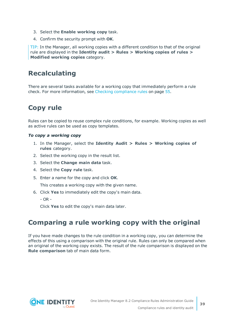- 3. Select the **Enable working copy** task.
- 4. Confirm the security prompt with **OK**.

TIP: In the Manager, all working copies with a different condition to that of the original rule are displayed in the **Identity audit > Rules > Working copies of rules > Modified working copies** category.

### **Recalculating**

There are several tasks available for a working copy that immediately perform a rule check. For more [information,](#page-54-0) see Checking compliance rules on page 55.

### **Copy rule**

Rules can be copied to reuse complex rule conditions, for example. Working copies as well as active rules can be used as copy templates.

### *To copy a working copy*

- 1. In the Manager, select the **Identity Audit > Rules > Working copies of rules** category.
- 2. Select the working copy in the result list.
- 3. Select the **Change main data** task.
- 4. Select the **Copy rule** task.
- 5. Enter a name for the copy and click **OK**.

This creates a working copy with the given name.

- 6. Click **Yes** to immediately edit the copy's main data.
	- $OR -$

Click **Yes** to edit the copy's main data later.

### **Comparing a rule working copy with the original**

If you have made changes to the rule condition in a working copy, you can determine the effects of this using a comparison with the original rule. Rules can only be compared when an original of the working copy exists. The result of the rule comparison is displayed on the **Rule comparison** tab of main data form.

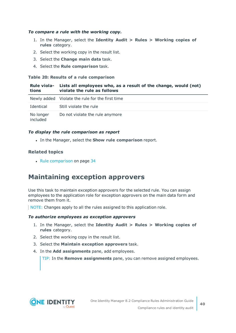### *To compare a rule with the working copy.*

- 1. In the Manager, select the **Identity Audit > Rules > Working copies of rules** category.
- 2. Select the working copy in the result list.
- 3. Select the **Change main data** task.
- 4. Select the **Rule comparison** task.

#### **Table 20: Results of a rule comparison**

| tions                 | Rule viola- Lists all employees who, as a result of the change, would (not)<br>violate the rule as follows |
|-----------------------|------------------------------------------------------------------------------------------------------------|
|                       | Newly added Violate the rule for the first time                                                            |
| Identical             | Still violate the rule                                                                                     |
| No longer<br>included | Do not violate the rule anymore                                                                            |

### *To display the rule comparison as report*

<sup>l</sup> In the Manager, select the **Show rule comparison** report.

### **Related topics**

 $\cdot$  Rule [comparison](#page-33-0) on page 34

### **Maintaining exception approvers**

Use this task to maintain exception approvers for the selected rule. You can assign employees to the application role for exception approvers on the main data form and remove them from it.

NOTE: Changes apply to all the rules assigned to this application role.

#### *To authorize employees as exception approvers*

- 1. In the Manager, select the **Identity Audit > Rules > Working copies of rules** category.
- 2. Select the working copy in the result list.
- 3. Select the **Maintain exception approvers** task.
- 4. In the **Add assignments** pane, add employees.

TIP: In the **Remove assignments** pane, you can remove assigned employees.

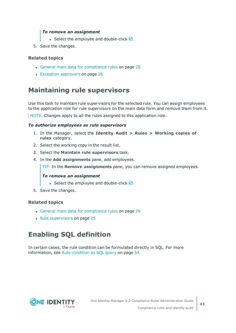### *To remove an assignment*

- **Select the employee and double-click**  $\odot$ **.**
- 5. Save the changes.

### **Related topics**

- General main data for [compliance](#page-28-0) rules on page 29
- Exception [approvers](#page-25-0) on page 26

### **Maintaining rule supervisors**

Use this task to maintain rule supervisors for the selected rule. You can assign employees to the application role for rule supervisors on the main data form and remove them from it.

NOTE: Changes apply to all the rules assigned to this application role.

#### *To authorize employees as rule supervisors*

- 1. In the Manager, select the **Identity Audit > Rules > Working copies of rules** category.
- 2. Select the working copy in the result list.
- 3. Select the **Maintain rule supervisors** task.
- 4. In the **Add assignments** pane, add employees.

TIP: In the **Remove assignments** pane, you can remove assigned employees.

#### *To remove an assignment*

- Select the employee and double-click  $\bigcirc$ .
- 5. Save the changes.

### **Related topics**

- General main data for [compliance](#page-28-0) rules on page 29
- Rule [supervisors](#page-24-0) on page 25

# **Enabling SQL definition**

In certain cases, the rule condition can be formulated directly in SQL. For [more](#page-53-0) [information,](#page-53-0) see Rule condition as SQL query on page 54.

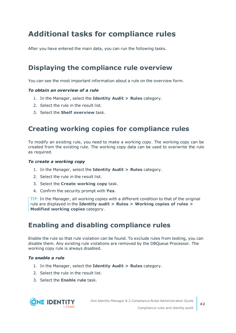# **Additional tasks for compliance rules**

After you have entered the main data, you can run the following tasks.

### **Displaying the compliance rule overview**

You can see the most important information about a rule on the overview form.

### *To obtain an overview of a rule*

- 1. In the Manager, select the **Identity Audit > Rules** category.
- 2. Select the rule in the result list.
- <span id="page-41-1"></span>3. Select the **Shelf overview** task.

### **Creating working copies for compliance rules**

To modify an existing rule, you need to make a working copy. The working copy can be created from the existing rule. The working copy data can be used to overwrite the rule as required.

#### *To create a working copy*

- 1. In the Manager, select the **Identity Audit > Rules** category.
- 2. Select the rule in the result list.
- 3. Select the **Create working copy** task.
- 4. Confirm the security prompt with **Yes**.

TIP: In the Manager, all working copies with a different condition to that of the original rule are displayed in the **Identity audit > Rules > Working copies of rules > Modified working copies** category.

### <span id="page-41-0"></span>**Enabling and disabling compliance rules**

Enable the rule so that rule violation can be found. To exclude rules from testing, you can disable them. Any existing rule violations are removed by the DBQueue Processor. The working copy rule is always disabled.

### *To enable a rule*

- 1. In the Manager, select the **Identity Audit > Rules** category.
- 2. Select the rule in the result list.
- 3. Select the **Enable rule** task.

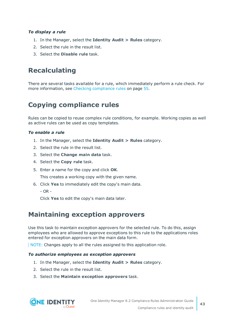### *To display a rule*

- 1. In the Manager, select the **Identity Audit > Rules** category.
- 2. Select the rule in the result list.
- 3. Select the **Disable rule** task.

### **Recalculating**

There are several tasks available for a rule, which immediately perform a rule check. [For](#page-54-0) more [information,](#page-54-0) see Checking compliance rules on page 55.

## **Copying compliance rules**

Rules can be copied to reuse complex rule conditions, for example. Working copies as well as active rules can be used as copy templates.

### *To enable a rule*

- 1. In the Manager, select the **Identity Audit > Rules** category.
- 2. Select the rule in the result list.
- 3. Select the **Change main data** task.
- 4. Select the **Copy rule** task.
- 5. Enter a name for the copy and click **OK**.

This creates a working copy with the given name.

- 6. Click **Yes** to immediately edit the copy's main data.
	- OR -

Click **Yes** to edit the copy's main data later.

### **Maintaining exception approvers**

Use this task to maintain exception approvers for the selected rule. To do this, assign employees who are allowed to approve exceptions to this rule to the applications roles entered for exception approvers on the main data form.

NOTE: Changes apply to all the rules assigned to this application role.

#### *To authorize employees as exception approvers*

- 1. In the Manager, select the **Identity Audit > Rules** category.
- 2. Select the rule in the result list.
- 3. Select the **Maintain exception approvers** task.

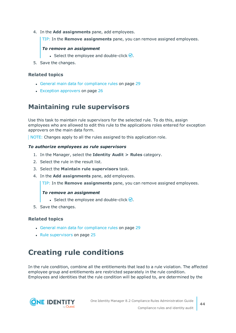4. In the **Add assignments** pane, add employees.

TIP: In the **Remove assignments** pane, you can remove assigned employees.

### *To remove an assignment*

- Select the employee and double-click  $\bigcirc$ .
- 5. Save the changes.

### **Related topics**

- General main data for [compliance](#page-28-0) rules on page 29
- Exception [approvers](#page-25-0) on page 26

### **Maintaining rule supervisors**

Use this task to maintain rule supervisors for the selected rule. To do this, assign employees who are allowed to edit this rule to the applications roles entered for exception approvers on the main data form.

NOTE: Changes apply to all the rules assigned to this application role.

### *To authorize employees as rule supervisors*

- 1. In the Manager, select the **Identity Audit > Rules** category.
- 2. Select the rule in the result list.
- 3. Select the **Maintain rule supervisors** task.
- 4. In the **Add assignments** pane, add employees.

TIP: In the **Remove assignments** pane, you can remove assigned employees.

### *To remove an assignment*

- **Select the employee and double-click**  $\bigcirc$ **.**
- 5. Save the changes.

### **Related topics**

- General main data for [compliance](#page-28-0) rules on page 29
- $\cdot$  Rule [supervisors](#page-24-0) on page 25

# **Creating rule conditions**

In the rule condition, combine all the entitlements that lead to a rule violation. The affected employee group and entitlements are restricted separately in the rule condition. Employees and identities that the rule condition will be applied to, are determined by the

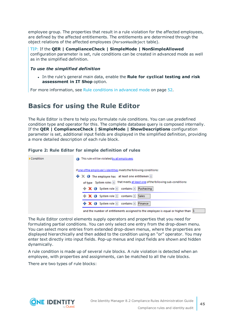employee group. The properties that result in a rule violation for the affected employees, are defined by the affected entitlements. The entitlements are determined through the object relations of the affected employees (PersonHasObject table).

TIP: If the **QER | ComplianceCheck | SimpleMode | NonSimpleAllowed** configuration parameter is set, rule conditions can be created in advanced mode as well as in the simplified definition.

### *To use the simplified definition*

<sup>l</sup> In the rule's general main data, enable the **Rule for cyclical testing and risk assessment in IT Shop** option.

<span id="page-44-0"></span>For more [information,](#page-51-0) see Rule conditions in advanced mode on page 52.

### **Basics for using the Rule Editor**

The Rule Editor is there to help you formulate rule conditions. You can use predefined condition type and operator for this. The complete database query is composed internally. If the **QER | ComplianceCheck | SimpleMode | ShowDescriptions** configuration parameter is set, additional input fields are displayed in the simplified definition, providing a more detailed description of each rule block.

### **Figure 2: Rule Editor for simple definition of rules**

| Condition | This rule will be violated by all employees                                                                                                           |
|-----------|-------------------------------------------------------------------------------------------------------------------------------------------------------|
|           | if one of the employee's identities meets the following conditions:<br>$\div \times \bullet$ The employee has at least one entitlemen $\Vert x \Vert$ |
|           | $\mathbf{R} \times \mathbf{0}$ System role <b>x</b> contains <b>x</b> Puchasing                                                                       |
|           | $\mathbf{X}$ <b>X O</b> System role <b>x</b> contains <b>x</b> Sales                                                                                  |
|           | → X + System role v contains v Finance<br>and the number of entitlements assigned to the employee is equal or higher than 1                           |

The Rule Editor control elements supply operators and properties that you need for formulating partial conditions. You can only select one entry from the drop-down menu. You can select more entries from extended drop-down menus, where the properties are displayed hierarchically and then added to the condition using an "or" operator. You may enter text directly into input fields. Pop-up menus and input fields are shown and hidden dynamically.

A rule condition is made up of several rule blocks. A rule violation is detected when an employee, with properties and assignments, can be matched to all the rule blocks.

There are two types of rule blocks:

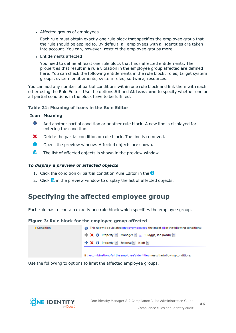• Affected groups of employees

Each rule must obtain exactly one rule block that specifies the employee group that the rule should be applied to. By default, all employees with all identities are taken into account. You can, however, restrict the employee groups more.

• Entitlements affected

You need to define at least one rule block that finds affected entitlements. The properties that result in a rule violation in the employee group affected are defined here. You can check the following entitlements in the rule block: roles, target system groups, system entitlements, system roles, software, resources.

You can add any number of partial conditions within one rule block and link them with each other using the Rule Editor. Use the options **All** and **At least one** to specify whether one or all partial conditions in the block have to be fulfilled.

### **Table 21: Meaning of icons in the Rule Editor**

| <b>Icon Meaning</b> |
|---------------------|
|---------------------|

| ╈            | Add another partial condition or another rule block. A new line is displayed for<br>entering the condition. |
|--------------|-------------------------------------------------------------------------------------------------------------|
| $\mathbf{x}$ | Delete the partial condition or rule block. The line is removed.                                            |
| o            | Opens the preview window. Affected objects are shown.                                                       |
| ĨQ.          | The list of affected objects is shown in the preview window.                                                |

#### *To display a preview of affected objects*

- 1. Click the condition or partial condition Rule Editor in the  $\bullet$ .
- 2. Click **is** in the preview window to display the list of affected objects.

### **Specifying the affected employee group**

Each rule has to contain exactly one rule block which specifies the employee group.

#### **Figure 3: Rule block for the employee group affected**

| Condition | This rule will be violated only by employees that meet all of the following conditions:     |
|-----------|---------------------------------------------------------------------------------------------|
|           | <b>X</b> O Property Manager x is "Bloggs, Jan (JANB)" x                                     |
|           | $\frac{1}{2}$ $\mathsf{X}$ $\mathsf{0}$ Property <b>z</b> External <b>z</b> is off <b>z</b> |
|           |                                                                                             |

if the combination of all the employee's identities meets the following conditions:

Use the following to options to limit the affected employee groups.

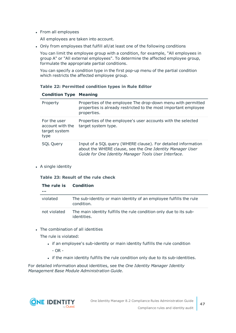• From all employees

All employees are taken into account.

• Only from employees that fulfill all/at least one of the following conditions

You can limit the employee group with a condition, for example, "All employees in group A" or "All external employees". To determine the affected employee group, formulate the appropriate partial conditions.

You can specify a condition type in the first pop-up menu of the partial condition which restricts the affected employee group.

### **Table 22: Permitted condition types in Rule Editor**

| Property                                                  | Properties of the employee The drop-down menu with permitted<br>properties is already restricted to the most important employee<br>properties.                                     |
|-----------------------------------------------------------|------------------------------------------------------------------------------------------------------------------------------------------------------------------------------------|
| For the user<br>account with the<br>target system<br>type | Properties of the employee's user accounts with the selected<br>target system type.                                                                                                |
| <b>SQL Query</b>                                          | Input of a SQL query (WHERE clause). For detailed information<br>about the WHERE clause, see the One Identity Manager User<br>Guide for One Identity Manager Tools User Interface. |

### **Condition Type Meaning**

• A single identity

#### **Table 23: Result of the rule check**

| The rule is<br> | <b>Condition</b>                                                                  |
|-----------------|-----------------------------------------------------------------------------------|
| violated        | The sub-identity or main identity of an employee fulfills the rule<br>condition.  |
| not violated    | The main identity fulfills the rule condition only due to its sub-<br>identities. |

• The combination of all identities

The rule is violated:

- if an employee's sub-identity or main identity fulfills the rule condition - OR -
- . if the main identity fulfills the rule condition only due to its sub-identities.

For detailed information about identities, see the *One Identity Manager Identity Management Base Module Administration Guide*.

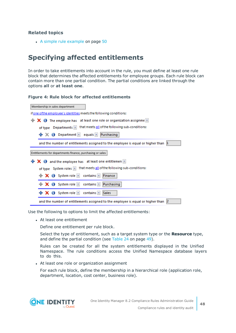• A simple rule [example](#page-49-0) on page 50

### **Specifying affected entitlements**

In order to take entitlements into account in the rule, you must define at least one rule block that determines the affected entitlements for employee groups. Each rule block can contain more than one partial condition. The partial conditions are linked through the options **all** or **at least one**.

### **Figure 4: Rule block for affected entitlements**

| Membership in sales department                                                                               |  |  |  |
|--------------------------------------------------------------------------------------------------------------|--|--|--|
| if one of the employee's identities meets the following conditions:                                          |  |  |  |
| $\mathbf + \mathbf \times \mathbf 0$ The employee has at least one role or organization assignme $\mathbf x$ |  |  |  |
| that meets all of the following sub-conditions:<br>of type $\Box$ Departments $\Box$                         |  |  |  |
| $\frac{1}{2} \mathbb{X}$ O Department $\mathbb{Z}$ equals $\mathbb{Z}$<br>Purchasing                         |  |  |  |
| and the number of entitlements assigned to the employee is equal or higher than $\ket{1}$                    |  |  |  |
| Entitlements for departments finance, purchasing or sales                                                    |  |  |  |
| $\mathbf + \mathbf \times \mathbf 0$ and the employee has at least one entitlemen $\mathbf x$                |  |  |  |
| of type System roles  x  that meets all of the following sub-conditions:                                     |  |  |  |
| contains <b>x</b><br>$\mathbf{R}$ $\mathbf{X}$ $\mathbf{O}$ System role $\mathbf{I}$<br>Finance              |  |  |  |
| $\mathbf + \mathbf \times \mathbf 0$ System role $\mathbf x$<br>contains <b>*</b><br>Purchasing              |  |  |  |
| <b>中 Ⅹ ❶</b> System role <mark>×</mark><br>contains <b>v</b><br>Sales                                        |  |  |  |
| and the number of entitlements assigned to the employee is equal or higher than [2]                          |  |  |  |

Use the following to options to limit the affected entitlements:

• At least one entitlement

Define one entitlement per rule block.

Select the type of entitlement, such as a target system type or the **Resource** type, and define the partial condition (see [Table](#page-48-0) 24 on page 49).

Rules can be created for all the system entitlements displayed in the Unified Namespace. The rule conditions access the Unified Namespace database layers to do this.

• At least one role or organization assignment

For each rule block, define the membership in a hierarchical role (application role, department, location, cost center, business role).

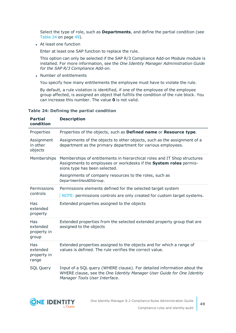Select the type of role, such as **Departments**, and define the partial condition (see [Table](#page-48-0) 24 on page 49).

• At least one function

Enter at least one SAP function to replace the rule.

This option can only be selected if the SAP R/3 Compliance Add-on Module module is installed. For more information, see the *One Identity Manager Administration Guide for the SAP R/3 Compliance Add-on*.

• Number of entitlements

You specify how many entitlements the employee must have to violate the rule.

By default, a rule violation is identified, if one of the employee of the employee group affected, is assigned an object that fulfills the condition of the rule block. You can increase this number. The value **0** is not valid.

| <b>Partial</b><br>condition             | <b>Description</b>                                                                                                                                                                                                                                                 |
|-----------------------------------------|--------------------------------------------------------------------------------------------------------------------------------------------------------------------------------------------------------------------------------------------------------------------|
| Properties                              | Properties of the objects, such as Defined name or Resource type.                                                                                                                                                                                                  |
| Assignment<br>in other<br>objects       | Assignments of the objects to other objects, such as the assignment of a<br>department as the primary department for various employees.                                                                                                                            |
| Memberships                             | Memberships of entitlements in hierarchical roles and IT Shop structures<br>Assignments to employees or workdesks if the System roles permis-<br>sions type has been selected.<br>Assignments of company resources to the roles, such as<br>DepartmentHasADSGroup. |
| Permissions<br>controls                 | Permissions elements defined for the selected target system<br>NOTE: permissions controls are only created for custom target systems.                                                                                                                              |
| Has<br>extended<br>property             | Extended properties assigned to the objects                                                                                                                                                                                                                        |
| Has<br>extended<br>property in<br>group | Extended properties from the selected extended property group that are<br>assigned to the objects                                                                                                                                                                  |
| Has<br>extended<br>property in<br>range | Extended properties assigned to the objects and for which a range of<br>values is defined. The rule verifies the correct value.                                                                                                                                    |
| <b>SQL Query</b>                        | Input of a SQL query (WHERE clause). For detailed information about the<br>WHERE clause, see the One Identity Manager User Guide for One Identity<br>Manager Tools User Interface.                                                                                 |

#### <span id="page-48-0"></span>**Table 24: Defining the partial condition**

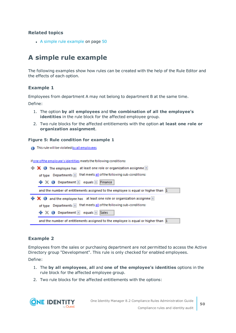• A simple rule [example](#page-49-0) on page 50

# <span id="page-49-0"></span>**A simple rule example**

The following examples show how rules can be created with the help of the Rule Editor and the effects of each option.

### **Example 1**

Employees from department A may not belong to department B at the same time.

Define:

- 1. The option **by all employees** and **the combination of all the employee's identities** in the rule block for the affected employee group.
- 2. Two rule blocks for the affected entitlements with the option **at least one role or organization assignment**.

#### **Figure 5: Rule condition for example 1**

**A** This rule will be violated by all employees

if one of the employee's identities meets the following conditions:



### **Example 2**

Employees from the sales or purchasing department are not permitted to access the Active Directory group "Development". This rule is only checked for enabled employees.

Define:

- 1. The **by all employees**, **all** and **one of the employee's identities** options in the rule block for the affected employee group.
- 2. Two rule blocks for the affected entitlements with the options:

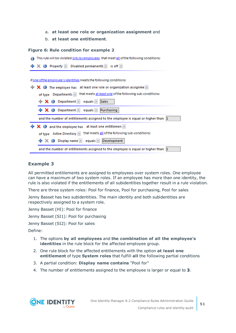- a. **at least one role or organization assignment** and
- b. **at least one entitlement**.

#### **Figure 6: Rule condition for example 2**

This rule will be violated only by employees that meet all of the following conditions:



### **Example 3**

All permitted entitlements are assigned to employees over system roles. One employee can have a maximum of two system roles. If an employee has more than one identity, the rule is also violated if the entitlements of all subidentities together result in a rule violation.

There are three system roles: Pool for finance, Pool for purchasing, Pool for sales

Jenny Basset has two subidentities. The main identity and both subidentities are respectively assigned to a system role.

Jenny Basset (HI): Pool for finance

Jenny Basset (SI1): Pool for purchasing

Jenny Basset (SI2): Pool for sales

Define:

- 1. The options **by all employees** and **the combination of all the employee's identities** in the rule block for the affected employee group.
- 2. One rule block for the affected entitlements with the option **at least one entitlement** of type **System roles** that fulfill **all** the following partial conditions
- 3. A partial condition: **Display name contains** "Pool for"
- 4. The number of entitlements assigned to the employee is larger or equal to **3**.

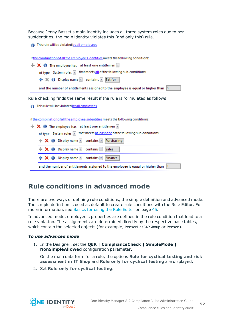Because Jenny Basset's main identity includes all three system roles due to her subidentities, the main identity violates this (and only this) rule.

This rule will be violated by all employees

if the combination of all the employee's identities meets the following conditions:

| $\mathbf{R} \times \mathbf{0}$ The employee has at least one entitlemen                 |
|-----------------------------------------------------------------------------------------|
| of type System roles x that meets all of the following sub-conditions:                  |
| + X O Display name <u>x</u> contains x Set for                                          |
| and the number of entitlements assigned to the employee is equal or higher than $\beta$ |
|                                                                                         |

Rule checking finds the same result if the rule is formulated as follows:

This rule will be violated by all employees

if the combination of all the employee's identities meets the following conditions:

|  | $\mathbf{R} \times \mathbf{0}$ The employee has at least one entitlemen              |                                                                                         |
|--|--------------------------------------------------------------------------------------|-----------------------------------------------------------------------------------------|
|  |                                                                                      | of type System roles x that meets at least one of the following sub-conditions:         |
|  | $\mathbf{X}$ $\mathbf{O}$ Display name $\mathbf{I}$ contains $\mathbf{I}$ Purchasing |                                                                                         |
|  | <b>X</b> O Display name <b>x</b> contains <b>x</b> Sales                             |                                                                                         |
|  | + X + Display name <u>x</u> contains x Finance                                       |                                                                                         |
|  |                                                                                      | and the number of entitlements assigned to the employee is equal or higher than $\beta$ |

### <span id="page-51-0"></span>**Rule conditions in advanced mode**

There are two ways of defining rule conditions, the simple definition and advanced mode. The simple definition is used as default to create rule conditions with the Rule Editor. [For](#page-44-0) more [information,](#page-44-0) see Basics for using the Rule Editor on page 45.

In advanced mode, employee's properties are defined in the rule condition that lead to a rule violation. The assignments are determined directly by the respective base tables, which contain the selected objects (for example, PersonHasSAPGRoup or Person).

#### *To use advanced mode*

1. In the Designer, set the **QER | ComplianceCheck | SimpleMode | NonSimpleAllowed** configuration parameter.

On the main data form for a rule, the options **Rule for cyclical testing and risk assessment in IT Shop** and **Rule only for cyclical testing** are displayed.

2. Set **Rule only for cyclical testing**.

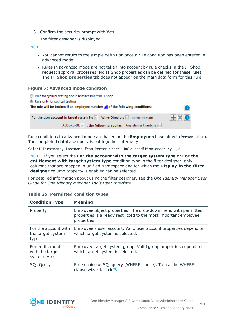3. Confirm the security prompt with **Yes**.

The filter designer is displayed.

### NOTE:

- You cannot return to the simple definition once a rule condition has been entered in advanced mode!
- Rules in advanced mode are not taken into account by rule checks in the IT Shop request approval processes. No IT Shop properties can be defined for these rules. The **IT Shop properties** tab does not appear on the main data form for this rule.

### **Figure 7: Advanced mode condition**

| Rule for cyclical testing and risk assessment in IT Shop                         |              |
|----------------------------------------------------------------------------------|--------------|
| • Rule only for cyclical testing                                                 |              |
| The rule will be broken if an employee matches all of the following conditions:  | m            |
| For the user account in target system typ $x$ Active Directory $x$ in the domain | $H \times 0$ |
| AEDoku-DE $\ x\ $ , the following applies: Any element matches $x$               |              |

Rule conditions in advanced mode are based on the **Employees** base object (Person table). The completed database query is put together internally:

Select Firstname, Lastname from Person where <Rule condition>order by 1,2

NOTE: If you select the **For the account with the target system type** or **For the entitlement with target system type** condition type in the filter designer, only columns that are mapped in Unified Namespace and for which the **Display in the filter designer** column property is enabled can be selected.

For detailed information about using the filter designer, see the *One Identity Manager User Guide for One Identity Manager Tools User Interface*.

| <b>Condition Type</b>                              | <b>Meaning</b>                                                                                                                                  |
|----------------------------------------------------|-------------------------------------------------------------------------------------------------------------------------------------------------|
| Property                                           | Employee object properties. The drop-down menu with permitted<br>properties is already restricted to the most important employee<br>properties. |
| For the account with<br>the target system<br>type  | Employee's user account. Valid user account properties depend on<br>which target system is selected.                                            |
| For entitlements<br>with the target<br>system type | Employee target system group. Valid group properties depend on<br>which target system is selected.                                              |
| <b>SQL Query</b>                                   | Free choice of SQL query (WHERE clause). To use the WHERE<br>clause wizard, click ₹.                                                            |

### **Table 25: Permitted condition types**

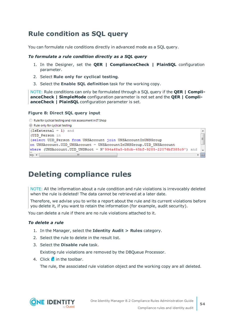### <span id="page-53-0"></span>**Rule condition as SQL query**

You can formulate rule conditions directly in advanced mode as a SQL query.

### *To formulate a rule condition directly as a SQL query*

- 1. In the Designer, set the **QER | ComplianceCheck | PlainSQL** configuration parameter.
- 2. Select **Rule only for cyclical testing**.
- 3. Select the **Enable SQL definition** task for the working copy.

NOTE: Rule conditions can only be formulated through a SQL query if the **QER | ComplianceCheck | SimpleMode** configuration parameter is not set and the **QER | ComplianceCheck | PlainSQL** configuration parameter is set.

### **Figure 8: Direct SQL query input**

```
Rule for cyclical testing and risk assessment in IT Shop
```
Rule only for cyclical testing

```
(IsExternal = 1) and
                                                                                     \blacktriangle(UID Person in
                                                                                     \equiv(select UID Person from UNSAccount join UNSAccountInUNSGroup
on UNSAccount. UID UNSAccount = UNSAccountInUNSGroup. UID UNSAccount
where (UNSAccount.UID UNSRoot = N'994a68a5-b8cb-45bf-9285-22076bf385c9') and
SQL 4m
                                                                                   ▶ 回
```
# **Deleting compliance rules**

NOTE: All the information about a rule condition and rule violations is irrevocably deleted when the rule is deleted! The data cannot be retrieved at a later date.

Therefore, we advise you to write a report about the rule and its current violations before you delete it, if you want to retain the information (for example, audit security).

You can delete a rule if there are no rule violations attached to it.

### *To delete a rule*

- 1. In the Manager, select the **Identity Audit > Rules** category.
- 2. Select the rule to delete in the result list.
- 3. Select the **Disable rule** task.

Existing rule violations are removed by the DBQueue Processor.

4. Click  $\frac{1}{2}$  in the toolbar.

The rule, the associated rule violation object and the working copy are all deleted.

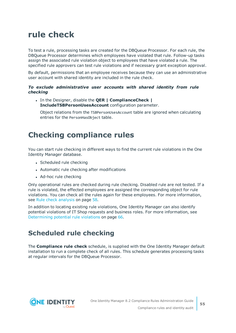# **rule check**

To test a rule, processing tasks are created for the DBQueue Processor. For each rule, the DBQueue Processor determines which employees have violated that rule. Follow-up tasks assign the associated rule violation object to employees that have violated a rule. The specified rule approvers can test rule violations and if necessary grant exception approval.

By default, permissions that an employee receives because they can use an administrative user account with shared identity are included in the rule check.

### *To exclude administrative user accounts with shared identity from rule checking*

<sup>l</sup> In the Designer, disable the **QER | ComplianceCheck | IncludeTSBPersonUsesAccount** configuration parameter.

Object relations from the TSBPersonUsesAccount table are ignored when calculating entries for the PersonHasObject table.

# <span id="page-54-0"></span>**Checking compliance rules**

You can start rule checking in different ways to find the current rule violations in the One Identity Manager database.

- Scheduled rule checking
- Automatic rule checking after modifications
- Ad-hoc rule checking

Only operational rules are checked during rule checking. Disabled rule are not tested. If a rule is violated, the effected employees are assigned the corresponding object for rule violations. You can check all the rules again for these employees. For more [information,](#page-57-0) see Rule check [analysis](#page-57-0) on page 58.

In addition to locating existing rule violations, One Identity Manager can also identify potential violations of IT Shop requests and business roles. For more [information,](#page-65-0) see [Determining](#page-65-0) potential rule violations on page 66.

### **Scheduled rule checking**

The **Compliance rule check** schedule, is supplied with the One Identity Manager default installation to run a complete check of all rules. This schedule generates processing tasks at regular intervals for the DBQueue Processor.

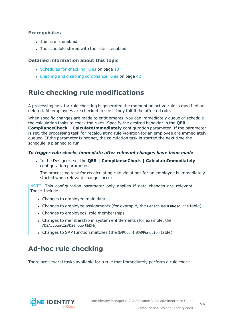### **Prerequisites**

- The rule is enabled.
- The schedule stored with the rule is enabled.

### **Detailed information about this topic**

- [Schedules](#page-12-0) for checking rules on page 13
- Enabling and disabling [compliance](#page-41-0) rules on page 42

### **Rule checking rule modifications**

A processing task for rule checking is generated the moment an active rule is modified or deleted. All employees are checked to see if they fulfill the affected rule.

When specific changes are made to entitlements, you can immediately queue or schedule the calculation tasks to check the rules. Specify the desired behavior in the **QER | ComplianceCheck | CalculateImmediately** configuration parameter. If the parameter is set, the processing task for recalculating rule violation for an employee are immediately queued. If the parameter is not set, the calculation task is started the next time the schedule is planned to run.

### *To trigger rule checks immediate after relevant changes have been made*

<sup>l</sup> In the Designer, set the **QER | ComplianceCheck | CalculateImmediately** configuration parameter.

The processing task for recalculating rule violations for an employee is immediately started when relevant changes occur.

NOTE: This configuration parameter only applies if data changes are relevant. These include:

- Changes to employee main data
- Changes to employee assignments (for example, the PersonHasQERResource table)
- Changes to employees' role memberships
- Changes to membership in system entitlements (for example, the ADSAccountInADSGroup table)
- Changes to SAP function matches (the SAPUserInSAPFunction table)

# **Ad-hoc rule checking**

There are several tasks available for a rule that immediately perform a rule check.

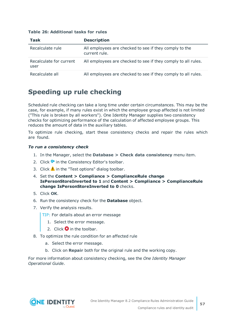| <b>Task</b>                     | <b>Description</b>                                                      |
|---------------------------------|-------------------------------------------------------------------------|
| Recalculate rule                | All employees are checked to see if they comply to the<br>current rule. |
| Recalculate for current<br>user | All employees are checked to see if they comply to all rules.           |
| Recalculate all                 | All employees are checked to see if they comply to all rules.           |

### **Table 26: Additional tasks for rules**

### **Speeding up rule checking**

Scheduled rule checking can take a long time under certain circumstances. This may be the case, for example, if many rules exist in which the employee group affected is not limited ("This rule is broken by all workers"). One Identity Manager supplies two consistency checks for optimizing performance of the calculation of affected employee groups. This reduces the amount of data in the auxiliary tables.

To optimize rule checking, start these consistency checks and repair the rules which are found.

### *To run a consistency check*

- 1. In the Manager, select the **Database > Check data consistency** menu item.
- 2. Click  $\bullet$  in the Consistency Editor's toolbar.
- 3. Click  $\triangle$  in the "Test options" dialog toolbar.
- 4. Set the **Content > Compliance > ComplianceRule change IsPersonStoreInverted to 1** and **Content > Compliance > ComplianceRule change IsPersonStoreInverted to 0** checks.
- 5. Click **OK**.
- 6. Run the consistency check for the **Database** object.
- 7. Verify the analysis results.
	- TIP: For details about an error message
		- 1. Select the error message.
		- 2. Click  $\mathbf{\Omega}$  in the toolbar.
- 8. To optimize the rule condition for an affected rule
	- a. Select the error message.
	- b. Click on **Repair** both for the original rule and the working copy.

For more information about consistency checking, see the *One Identity Manager Operational Guide*.

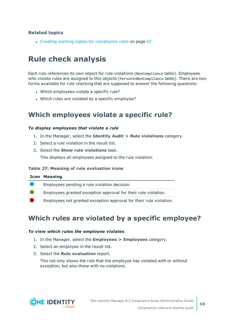• Creating working copies for [compliance](#page-41-1) rules on page 42

# <span id="page-57-0"></span>**Rule check analysis**

Each rule references its own object for rule violations (NonCompliance table). Employees who violate rules are assigned to this objects (PersonInNonCompliance table). There are two forms available for rule checking that are supposed to answer the following questions:

- Which employees violate a specific rule?
- Which rules are violated by a specific employee?

### <span id="page-57-2"></span>**Which employees violate a specific rule?**

### *To display employees that violate a rule*

- 1. In the Manager, select the **Identity Audit > Rule violations** category.
- 2. Select a rule violation in the result list.
- 3. Select the **Show rule violations** task.

This displays all employees assigned to the rule violation.

#### **Table 27: Meaning of rule evaluation icons**

| <b>Icon Meaning</b>                                                |
|--------------------------------------------------------------------|
| Employees pending a rule violation decision.                       |
| Employees granted exception approval for their rule violation.     |
| Employees not granted exception approval for their rule violation. |
|                                                                    |

### <span id="page-57-1"></span>**Which rules are violated by a specific employee?**

### *To view which rules the employee violates*

- 1. In the Manager, select the **Employees > Employees** category.
- 2. Select an employee in the result list.
- 3. Select the **Rule evaluation** report.

This not only shows the rule that the employee has violated with or without exception, but also those with no violations.

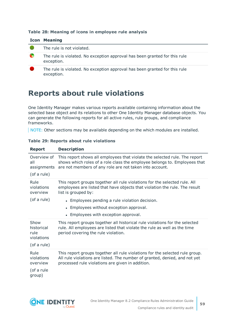### **Table 28: Meaning of icons in employee rule analysis**

|   | <b>Icon Meaning</b>                                                                      |
|---|------------------------------------------------------------------------------------------|
|   | The rule is not violated.                                                                |
| œ | The rule is violated. No exception approval has been granted for this rule<br>exception. |
|   | The rule is violated. No exception approval has been granted for this rule<br>exception. |

## **Reports about rule violations**

One Identity Manager makes various reports available containing information about the selected base object and its relations to other One Identity Manager database objects. You can generate the following reports for all active rules, rule groups, and compliance frameworks.

NOTE: Other sections may be available depending on the which modules are installed.

| <b>Report</b>                                    | <b>Description</b>                                                                                                                                                                                                 |
|--------------------------------------------------|--------------------------------------------------------------------------------------------------------------------------------------------------------------------------------------------------------------------|
| Overview of<br>all<br>assignments<br>(of a rule) | This report shows all employees that violate the selected rule. The report<br>shows which roles of a role class the employee belongs to. Employees that<br>are not members of any role are not taken into account. |
| Rule<br>violations<br>overview                   | This report groups together all rule violations for the selected rule. All<br>employees are listed that have objects that violation the rule. The result<br>list is grouped by:                                    |
| (of a rule)                                      | • Employees pending a rule violation decision.                                                                                                                                                                     |
|                                                  | • Employees without exception approval.                                                                                                                                                                            |
|                                                  | • Employees with exception approval.                                                                                                                                                                               |
| Show<br>historical<br>rule<br>violations         | This report groups together all historical rule violations for the selected<br>rule. All employees are listed that violate the rule as well as the time<br>period covering the rule violation.                     |
| (of a rule)                                      |                                                                                                                                                                                                                    |
| Rule<br>violations<br>overview                   | This report groups together all rule violations for the selected rule group.<br>All rule violations are listed. The number of granted, denied, and not yet<br>processed rule violations are given in addition.     |
| (of a rule<br>group)                             |                                                                                                                                                                                                                    |

### **Table 29: Reports about rule violations**

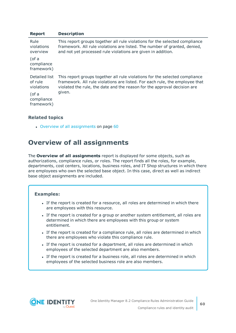| <b>Report</b>                          | <b>Description</b>                                                                                                                                                                                                                     |
|----------------------------------------|----------------------------------------------------------------------------------------------------------------------------------------------------------------------------------------------------------------------------------------|
| Rule<br>violations<br>overview         | This report groups together all rule violations for the selected compliance<br>framework. All rule violations are listed. The number of granted, denied,<br>and not yet processed rule violations are given in addition.               |
| (of a<br>compliance<br>framework)      |                                                                                                                                                                                                                                        |
| Detailed list<br>of rule<br>violations | This report groups together all rule violations for the selected compliance<br>framework. All rule violations are listed. For each rule, the employee that<br>violated the rule, the date and the reason for the approval decision are |
| (of a<br>compliance<br>framework)      | given.                                                                                                                                                                                                                                 |

• Overview of all [assignments](#page-59-0) on page 60

### <span id="page-59-0"></span>**Overview of all assignments**

The **Overview of all assignments** report is displayed for some objects, such as authorizations, compliance rules, or roles. The report finds all the roles, for example, departments, cost centers, locations, business roles, and IT Shop structures in which there are employees who own the selected base object. In this case, direct as well as indirect base object assignments are included.

### **Examples:**

- If the report is created for a resource, all roles are determined in which there are employees with this resource.
- If the report is created for a group or another system entitlement, all roles are determined in which there are employees with this group or system entitlement.
- If the report is created for a compliance rule, all roles are determined in which there are employees who violate this compliance rule.
- If the report is created for a department, all roles are determined in which employees of the selected department are also members.
- If the report is created for a business role, all roles are determined in which employees of the selected business role are also members.

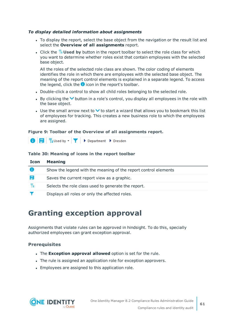### *To display detailed information about assignments*

- To display the report, select the base object from the navigation or the result list and select the **Overview of all assignments** report.
- If Click the  $\frac{10}{15}$  Used by button in the report toolbar to select the role class for which you want to determine whether roles exist that contain employees with the selected base object.

All the roles of the selected role class are shown. The color coding of elements identifies the role in which there are employees with the selected base object. The meaning of the report control elements is explained in a separate legend. To access the legend, click the  $\bullet$  icon in the report's toolbar.

- Double-click a control to show all child roles belonging to the selected role.
- By clicking the  $\vee$  button in a role's control, you display all employees in the role with the base object.
- Use the small arrow next to  $\vee$  to start a wizard that allows you to bookmark this list of employees for tracking. This creates a new business role to which the employees are assigned.

### **Figure 9: Toolbar of the Overview of all assignments report.**



### **Table 30: Meaning of icons in the report toolbar**

| <b>Icon</b> | <b>Meaning</b>                                                  |
|-------------|-----------------------------------------------------------------|
|             | Show the legend with the meaning of the report control elements |
| 昌           | Saves the current report view as a graphic.                     |
| 뭠           | Selects the role class used to generate the report.             |
|             | Displays all roles or only the affected roles.                  |

# **Granting exception approval**

Assignments that violate rules can be approved in hindsight. To do this, specially authorized employees can grant exception approval.

### **Prerequisites**

- <sup>l</sup> The **Exception approval allowed** option is set for the rule.
- The rule is assigned an application role for exception approvers.
- Employees are assigned to this application role.

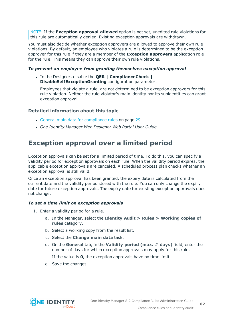NOTE: If the **Exception approval allowed** option is not set, unedited rule violations for this rule are automatically denied. Existing exception approvals are withdrawn.

You must also decide whether exception approvers are allowed to approve their own rule violations. By default, an employee who violates a rule is determined to be the exception approver for this rule if they are a member of the **Exception approvers** application role for the rule. This means they can approve their own rule violations.

#### *To prevent an employee from granting themselves exception approval*

<sup>l</sup> In the Designer, disable the **QER | ComplianceCheck | DisableSelfExceptionGranting** configuration parameter.

Employees that violate a rule, are not determined to be exception approvers for this rule violation. Neither the rule violator's main identity nor its subidentities can grant exception approval.

### **Detailed information about this topic**

- General main data for [compliance](#page-28-0) rules on page 29
- <sup>l</sup> *One Identity Manager Web Designer Web Portal User Guide*

### **Exception approval over a limited period**

Exception approvals can be set for a limited period of time. To do this, you can specify a validity period for exception approvals on each rule. When the validity period expires, the applicable exception approvals are canceled. A scheduled process plan checks whether an exception approval is still valid.

Once an exception approval has been granted, the expiry date is calculated from the current date and the validity period stored with the rule. You can only change the expiry date for future exception approvals. The expiry date for existing exception approvals does not change.

### *To set a time limit on exception approvals*

- 1. Enter a validity period for a rule.
	- a. In the Manager, select the **Identity Audit > Rules > Working copies of rules** category.
	- b. Select a working copy from the result list.
	- c. Select the **Change main data** task.
	- d. On the **General** tab, in the **Validity period (max. # days)** field, enter the number of days for which exception approvals may apply for this rule.

If the value is **0**, the exception approvals have no time limit.

e. Save the changes.

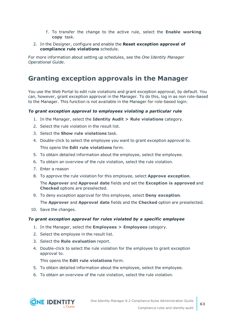- f. To transfer the change to the active rule, select the **Enable working copy** task.
- 2. In the Designer, configure and enable the **Reset exception approval of compliance rule violations** schedule.

For more information about setting up schedules, see the *One Identity Manager Operational Guide*.

### **Granting exception approvals in the Manager**

You use the Web Portal to edit rule violations and grant exception approval, by default. You can, however, grant exception approval in the Manager. To do this, log in as non role-based to the Manager. This function is not available in the Manager for role-based login.

### *To grant exception approval to employees violating a particular rule*

- 1. In the Manager, select the **Identity Audit > Rule violations** category.
- 2. Select the rule violation in the result list.
- 3. Select the **Show rule violations** task.
- 4. Double-click to select the employee you want to grant exception approval to. This opens the **Edit rule violations** form.
- 5. To obtain detailed information about the employee, select the employee.
- 6. To obtain an overview of the rule violation, select the rule violation.
- 7. Enter a reason
- 8. To approve the rule violation for this employee, select **Approve exception**.

The **Approver** and **Approval date** fields and set the **Exception is approved** and **Checked** options are preselected.

9. To deny exception approval for this employee, select **Deny exception**.

The **Approver** and **Approval date** fields and the **Checked** option are preselected.

10. Save the changes.

### *To grant exception approval for rules violated by a specific employee*

- 1. In the Manager, select the **Employees > Employees** category.
- 2. Select the employee in the result list.
- 3. Select the **Rule evaluation** report.
- 4. Double-click to select the rule violation for the employee to grant exception approval to.

This opens the **Edit rule violations** form.

- 5. To obtain detailed information about the employee, select the employee.
- 6. To obtain an overview of the rule violation, select the rule violation.

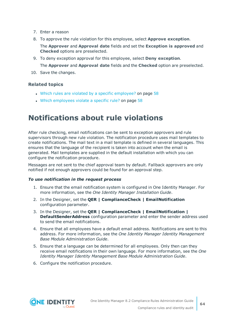- 7. Enter a reason
- 8. To approve the rule violation for this employee, select **Approve exception**.
	- The **Approver** and **Approval date** fields and set the **Exception is approved** and **Checked** options are preselected.
- 9. To deny exception approval for this employee, select **Deny exception**.

The **Approver** and **Approval date** fields and the **Checked** option are preselected.

10. Save the changes.

### **Related topics**

- $\bullet$  Which rules are violated by a specific [employee?](#page-57-1) on page 58
- Which [employees](#page-57-2) violate a specific rule? on page 58

# **Notifications about rule violations**

After rule checking, email notifications can be sent to exception approvers and rule supervisors through new rule violation. The notification procedure uses mail templates to create notifications. The mail text in a mail template is defined in several languages. This ensures that the language of the recipient is taken into account when the email is generated. Mail templates are supplied in the default installation with which you can configure the notification procedure.

Messages are not sent to the chief approval team by default. Fallback approvers are only notified if not enough approvers could be found for an approval step.

#### *To use notification in the request process*

- 1. Ensure that the email notification system is configured in One Identity Manager. For more information, see the *One Identity Manager Installation Guide*.
- 2. In the Designer, set the **QER | ComplianceCheck | EmailNotification** configuration parameter.
- 3. In the Designer, set the **QER | ComplianceCheck | EmailNotification | DefaultSenderAddress** configuration parameter and enter the sender address used to send the email notifications.
- 4. Ensure that all employees have a default email address. Notifications are sent to this address. For more information, see the *One Identity Manager Identity Management Base Module Administration Guide*.
- 5. Ensure that a language can be determined for all employees. Only then can they receive email notifications in their own language. For more information, see the *One Identity Manager Identity Management Base Module Administration Guide*.
- 6. Configure the notification procedure.

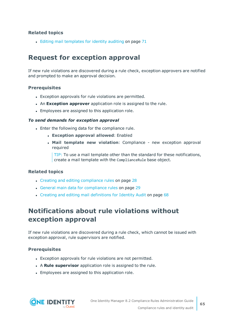$\bullet$  Editing mail [templates](#page-70-0) for identity auditing on page 71

### **Request for exception approval**

If new rule violations are discovered during a rule check, exception approvers are notified and prompted to make an approval decision.

### **Prerequisites**

- Exception approvals for rule violations are permitted.
- **An Exception approver** application role is assigned to the rule.
- Employees are assigned to this application role.

#### *To send demands for exception approval*

- Enter the following data for the compliance rule.
	- <sup>l</sup> **Exception approval allowed**: Enabled
	- <sup>l</sup> **Mail template new violation**: Compliance new exception approval required

TIP: To use a mail template other than the standard for these notifications, create a mail template with the ComplianceRule base object.

### **Related topics**

- Creating and editing [compliance](#page-27-0) rules on page 28
- General main data for [compliance](#page-28-0) rules on page 29
- Creating and editing mail [definitions](#page-67-0) for Identity Audit on page 68

### **Notifications about rule violations without exception approval**

If new rule violations are discovered during a rule check, which cannot be issued with exception approval, rule supervisors are notified.

### **Prerequisites**

- Exception approvals for rule violations are not permitted.
- **A Rule supervisor** application role is assigned to the rule.
- Employees are assigned to this application role.

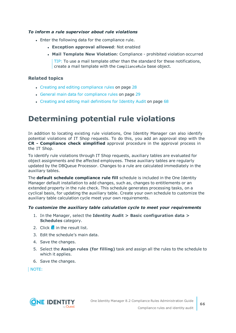### *To inform a rule supervisor about rule violations*

- Enter the following data for the compliance rule.
	- <sup>l</sup> **Exception approval allowed**: Not enabled
	- <sup>l</sup> **Mail Template New Violation**: Compliance prohibited violation occurred

TIP: To use a mail template other than the standard for these notifications, create a mail template with the ComplianceRule base object.

### **Related topics**

- Creating and editing [compliance](#page-27-0) rules on page 28
- General main data for [compliance](#page-28-0) rules on page 29
- Creating and editing mail [definitions](#page-67-0) for Identity Audit on page 68

# <span id="page-65-0"></span>**Determining potential rule violations**

In addition to locating existing rule violations, One Identity Manager can also identify potential violations of IT Shop requests. To do this, you add an approval step with the **CR - Compliance check simplified** approval procedure in the approval process in the IT Shop.

To identify rule violations through IT Shop requests, auxiliary tables are evaluated for object assignments and the affected employees. These auxiliary tables are regularly updated by the DBQueue Processor. Changes to a rule are calculated immediately in the auxiliary tables.

The **default schedule compliance rule fill** schedule is included in the One Identity Manager default installation to add changes, such as, changes to entitlements or an extended property in the rule check. This schedule generates processing tasks, on a cyclical basis, for updating the auxiliary table. Create your own schedule to customize the auxiliary table calculation cycle meet your own requirements.

#### *To customize the auxiliary table calculation cycle to meet your requirements*

- 1. In the Manager, select the **Identity Audit > Basic configuration data > Schedules** category.
- 2. Click  $\frac{1}{2}$  in the result list.
- 3. Edit the schedule's main data.
- 4. Save the changes.
- 5. Select the **Assign rules (for filling)** task and assign all the rules to the schedule to which it applies.
- 6. Save the changes.

NOTE:

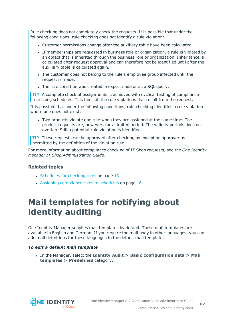Rule checking does not completely check the requests. It is possible that under the following conditions, rule checking does not identify a rule violation:

- Customer permissions change after the auxiliary table have been calculated.
- If memberships are requested in business role or organization, a rule is violated by an object that is inherited through the business role or organization. Inheritance is calculated after request approval and can therefore not be identified until after the auxiliary table is calculated again.
- The customer does not belong to the rule's employee group affected until the request is made.
- The rule condition was created in expert node or as a SQL query.

TIP: A complete check of assignments is achieved with cyclical testing of compliance rule using schedules. This finds all the rule violations that result from the request.

It is possible that under the following conditions, rule checking identifies a rule violation where one does not exist:

• Two products violate one rule when they are assigned at the same time. The product requests are, however, for a limited period. The validity periods does not overlap. Still a potential rule violation is identified.

TIP: These requests can be approved after checking by exception approver as permitted by the definition of the violation rule.

For more information about compliance checking of IT Shop requests, see the *One Identity Manager IT Shop Administration Guide*.

### **Related topics**

- [Schedules](#page-12-0) for checking rules on page 13
- $\cdot$  Assigning [compliance](#page-15-0) rules to schedules on page 16

# **Mail templates for notifying about identity auditing**

One Identity Manager supplies mail templates by default. These mail templates are available in English and German. If you require the mail body in other languages, you can add mail definitions for these languages to the default mail template.

### *To edit a default mail template*

<sup>l</sup> In the Manager, select the **Identity Audit > Basic configuration data > Mail templates > Predefined** category.

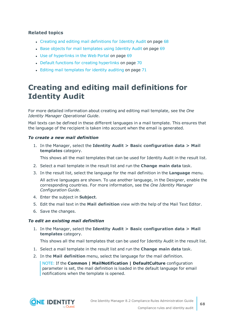- Creating and editing mail [definitions](#page-67-0) for Identity Audit on page 68
- Base objects for mail [templates](#page-68-0) using Identity Audit on page 69
- Use of [hyperlinks](#page-68-1) in the Web Portal on page 69
- Default functions for creating [hyperlinks](#page-69-0) on page 70
- $\cdot$  Editing mail [templates](#page-70-0) for identity auditing on page 71

# <span id="page-67-0"></span>**Creating and editing mail definitions for Identity Audit**

For more detailed information about creating and editing mail template, see the *One Identity Manager Operational Guide*.

Mail texts can be defined in these different languages in a mail template. This ensures that the language of the recipient is taken into account when the email is generated.

### *To create a new mail definition*

1. In the Manager, select the **Identity Audit > Basic configuration data > Mail templates** category.

This shows all the mail templates that can be used for Identity Audit in the result list.

- 2. Select a mail template in the result list and run the **Change main data** task.
- 3. In the result list, select the language for the mail definition in the **Language** menu.

All active languages are shown. To use another language, in the Designer, enable the corresponding countries. For more information, see the *One Identity Manager Configuration Guide*.

- 4. Enter the subject in **Subject**.
- 5. Edit the mail text in the **Mail definition** view with the help of the Mail Text Editor.
- 6. Save the changes.

### *To edit an existing mail definition*

1. In the Manager, select the **Identity Audit > Basic configuration data > Mail templates** category.

This shows all the mail templates that can be used for Identity Audit in the result list.

- 1. Select a mail template in the result list and run the **Change main data** task.
- 2. In the **Mail definition** menu, select the language for the mail definition.

NOTE: If the **Common | MailNotification | DefaultCulture** configuration parameter is set, the mail definition is loaded in the default language for email notifications when the template is opened.

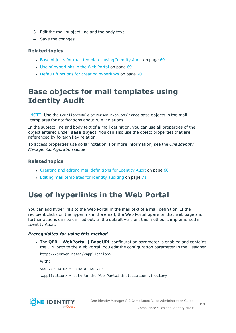- 3. Edit the mail subject line and the body text.
- 4. Save the changes.

- Base objects for mail [templates](#page-68-0) using Identity Audit on page 69
- Use of [hyperlinks](#page-68-1) in the Web Portal on page 69
- Default functions for creating [hyperlinks](#page-69-0) on page 70

# <span id="page-68-0"></span>**Base objects for mail templates using Identity Audit**

NOTE: Use the ComplianceRule or PersonInNonCompliance base objects in the mail templates for notifications about rule violations.

In the subject line and body text of a mail definition, you can use all properties of the object entered under **Base object**. You can also use the object properties that are referenced by foreign key relation.

To access properties use dollar notation. For more information, see the *One Identity Manager Configuration Guide*.

### **Related topics**

- Creating and editing mail [definitions](#page-67-0) for Identity Audit on page 68
- Editing mail [templates](#page-70-0) for identity auditing on page 71

# <span id="page-68-1"></span>**Use of hyperlinks in the Web Portal**

You can add hyperlinks to the Web Portal in the mail text of a mail definition. If the recipient clicks on the hyperlink in the email, the Web Portal opens on that web page and further actions can be carried out. In the default version, this method is implemented in Identity Audit.

### *Prerequisites for using this method*

<sup>l</sup> The **QER | WebPortal | BaseURL** configuration parameter is enabled and contains the URL path to the Web Portal. You edit the configuration parameter in the Designer.

```
http://<server name>/<application>
with:
<server name> = name of server
<application> = path to the Web Portal installation directory
```
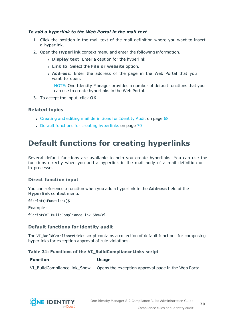### *To add a hyperlink to the Web Portal in the mail text*

- 1. Click the position in the mail text of the mail definition where you want to insert a hyperlink.
- 2. Open the **Hyperlink** context menu and enter the following information.
	- **.** Display text: Enter a caption for the hyperlink.
	- <sup>l</sup> **Link to**: Select the **File or website** option.
	- <sup>l</sup> **Address**: Enter the address of the page in the Web Portal that you want to open.

NOTE: One Identity Manager provides a number of default functions that you can use to create hyperlinks in the Web Portal.

3. To accept the input, click **OK**.

### **Related topics**

- Creating and editing mail [definitions](#page-67-0) for Identity Audit on page 68
- Default functions for creating [hyperlinks](#page-69-0) on page 70

# <span id="page-69-0"></span>**Default functions for creating hyperlinks**

Several default functions are available to help you create hyperlinks. You can use the functions directly when you add a hyperlink in the mail body of a mail definition or in processes

### **Direct function input**

You can reference a function when you add a hyperlink in the **Address** field of the **Hyperlink** context menu.

\$Script(<Function>)\$

Example:

\$Script(VI\_BuildComplianceLink\_Show)\$

### **Default functions for identity audit**

The VI\_BuildComplianceLinks script contains a collection of default functions for composing hyperlinks for exception approval of rule violations.

#### **Table 31: Functions of the VI\_BuildComplianceLinks script**

| <b>Function</b>             | <b>Usage</b>                                         |
|-----------------------------|------------------------------------------------------|
| VI BuildComplianceLink Show | Opens the exception approval page in the Web Portal. |

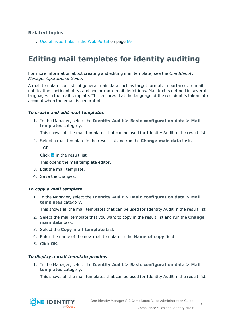• Use of [hyperlinks](#page-68-1) in the Web Portal on page 69

# <span id="page-70-0"></span>**Editing mail templates for identity auditing**

For more information about creating and editing mail template, see the *One Identity Manager Operational Guide*.

A mail template consists of general main data such as target format, importance, or mail notification confidentiality, and one or more mail definitions. Mail text is defined in several languages in the mail template. This ensures that the language of the recipient is taken into account when the email is generated.

#### *To create and edit mail templates*

1. In the Manager, select the **Identity Audit > Basic configuration data > Mail templates** category.

This shows all the mail templates that can be used for Identity Audit in the result list.

2. Select a mail template in the result list and run the **Change main data** task.

 $- OR -$ 

Click  $\mathbf{f}$  in the result list.

This opens the mail template editor.

- 3. Edit the mail template.
- 4. Save the changes.

#### *To copy a mail template*

1. In the Manager, select the **Identity Audit > Basic configuration data > Mail templates** category.

This shows all the mail templates that can be used for Identity Audit in the result list.

- 2. Select the mail template that you want to copy in the result list and run the **Change main data** task.
- 3. Select the **Copy mail template** task.
- 4. Enter the name of the new mail template in the **Name of copy** field.
- 5. Click **OK**.

#### *To display a mail template preview*

1. In the Manager, select the **Identity Audit > Basic configuration data > Mail templates** category.

This shows all the mail templates that can be used for Identity Audit in the result list.

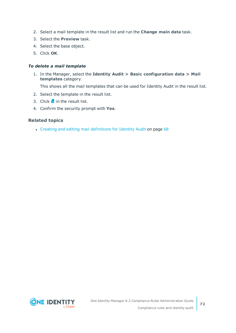- 2. Select a mail template in the result list and run the **Change main data** task.
- 3. Select the **Preview** task.
- 4. Select the base object.
- 5. Click **OK**.

### *To delete a mail template*

1. In the Manager, select the **Identity Audit > Basic configuration data > Mail templates** category.

This shows all the mail templates that can be used for Identity Audit in the result list.

- 2. Select the template in the result list.
- 3. Click  $\mathbf{\hat{x}}$  in the result list.
- 4. Confirm the security prompt with **Yes**.

### **Related topics**

• Creating and editing mail [definitions](#page-67-0) for Identity Audit on page 68

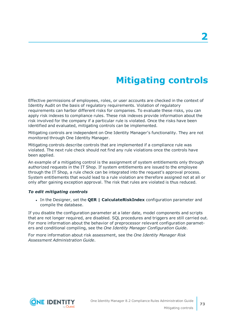# **Mitigating controls**

<span id="page-72-0"></span>Effective permissions of employees, roles, or user accounts are checked in the context of Identity Audit on the basis of regulatory requirements. Violation of regulatory requirements can harbor different risks for companies. To evaluate these risks, you can apply risk indexes to compliance rules. These risk indexes provide information about the risk involved for the company if a particular rule is violated. Once the risks have been identified and evaluated, mitigating controls can be implemented.

Mitigating controls are independent on One Identity Manager's functionality. They are not monitored through One Identity Manager.

Mitigating controls describe controls that are implemented if a compliance rule was violated. The next rule check should not find any rule violations once the controls have been applied.

An example of a mitigating control is the assignment of system entitlements only through authorized requests in the IT Shop. If system entitlements are issued to the employee through the IT Shop, a rule check can be integrated into the request's approval process. System entitlements that would lead to a rule violation are therefore assigned not at all or only after gaining exception approval. The risk that rules are violated is thus reduced.

#### *To edit mitigating controls*

<sup>l</sup> In the Designer, set the **QER | CalculateRiskIndex** configuration parameter and compile the database.

If you disable the configuration parameter at a later date, model components and scripts that are not longer required, are disabled. SQL procedures and triggers are still carried out. For more information about the behavior of preprocessor relevant configuration parameters and conditional compiling, see the *One Identity Manager Configuration Guide*.

For more information about risk assessment, see the *One Identity Manager Risk Assessment Administration Guide*.

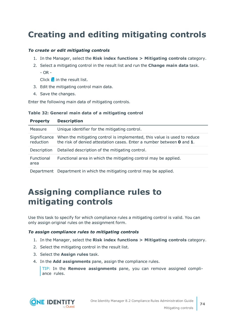## <span id="page-73-1"></span>**Creating and editing mitigating controls**

#### *To create or edit mitigating controls*

- 1. In the Manager, select the **Risk index functions > Mitigating controls** category.
- 2. Select a mitigating control in the result list and run the **Change main data** task.  $-$  OR  $-$

Click  $\mathbf{1}$  in the result list.

- 3. Edit the mitigating control main data.
- 4. Save the changes.

Enter the following main data of mitigating controls.

#### **Table 32: General main data of a mitigating control**

| <b>Property</b>           | <b>Description</b>                                                                                                                                               |
|---------------------------|------------------------------------------------------------------------------------------------------------------------------------------------------------------|
| Measure                   | Unique identifier for the mitigating control.                                                                                                                    |
| Significance<br>reduction | When the mitigating control is implemented, this value is used to reduce<br>the risk of denied attestation cases. Enter a number between <b>0</b> and <b>1</b> . |
| Description               | Detailed description of the mitigating control.                                                                                                                  |
| Functional<br>area        | Functional area in which the mitigating control may be applied.                                                                                                  |
|                           | Department Department in which the mitigating control may be applied.                                                                                            |

## <span id="page-73-0"></span>**Assigning compliance rules to mitigating controls**

Use this task to specify for which compliance rules a mitigating control is valid. You can only assign original rules on the assignment form.

#### *To assign compliance rules to mitigating controls*

- 1. In the Manager, select the **Risk index functions > Mitigating controls** category.
- 2. Select the mitigating control in the result list.
- 3. Select the **Assign rules** task.
- 4. In the **Add assignments** pane, assign the compliance rules.

TIP: In the **Remove assignments** pane, you can remove assigned compliance rules.



**74**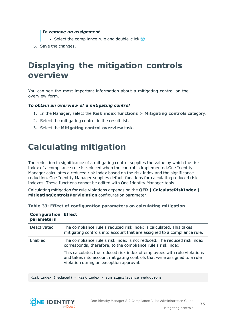#### *To remove an assignment*

- Select the compliance rule and double-click  $\bigcirc$ .
- <span id="page-74-0"></span>5. Save the changes.

## **Displaying the mitigation controls overview**

You can see the most important information about a mitigating control on the overview form.

#### *To obtain an overview of a mitigating control*

- 1. In the Manager, select the **Risk index functions > Mitigating controls** category.
- 2. Select the mitigating control in the result list.
- <span id="page-74-1"></span>3. Select the **Mitigating control overview** task.

## **Calculating mitigation**

The reduction in significance of a mitigating control supplies the value by which the risk index of a compliance rule is reduced when the control is implemented.One Identity Manager calculates a reduced risk index based on the risk index and the significance reduction. One Identity Manager supplies default functions for calculating reduced risk indexes. These functions cannot be edited with One Identity Manager tools.

Calculating mitigation for rule violations depends on the **QER | CalculateRiskIndex | MitigatingControlsPerViolation** configuration parameter.

| <b>Configuration Effect</b><br>parameters |                                                                                                                                                                                                |
|-------------------------------------------|------------------------------------------------------------------------------------------------------------------------------------------------------------------------------------------------|
| Deactivated                               | The compliance rule's reduced risk index is calculated. This takes<br>mitigating controls into account that are assigned to a compliance rule.                                                 |
| Enabled                                   | The compliance rule's risk index is not reduced. The reduced risk index<br>corresponds, therefore, to the compliance rule's risk index.                                                        |
|                                           | This calculates the reduced risk index of employees with rule violations<br>and takes into account mitigating controls that were assigned to a rule<br>violation during an exception approval. |

| Table 33: Effect of configuration parameters on calculating mitigation |  |  |  |
|------------------------------------------------------------------------|--|--|--|
|------------------------------------------------------------------------|--|--|--|

Risk index (reduced) = Risk index - sum significance reductions



**75**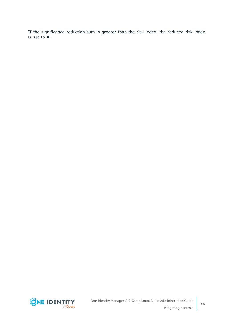If the significance reduction sum is greater than the risk index, the reduced risk index is set to **0**.

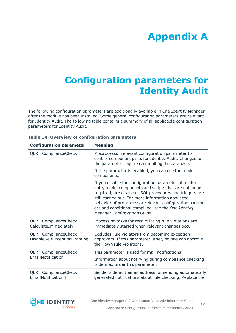## **Appendix:Configuration parameters for Identity Audit**

The following configuration parameters are additionally available in One Identity Manager after the module has been installed. Some general configuration parameters are relevant for Identity Audit. The following table contains a summary of all applicable configuration parameters for Identity Audit.

| <b>Configuration parameter</b>                          | <b>Meaning</b>                                                                                                                                                                                                                                                                                                                                                                     |
|---------------------------------------------------------|------------------------------------------------------------------------------------------------------------------------------------------------------------------------------------------------------------------------------------------------------------------------------------------------------------------------------------------------------------------------------------|
| QER   ComplianceCheck                                   | Preprocessor relevant configuration parameter to<br>control component parts for Identity Audit. Changes to<br>the parameter require recompiling the database.                                                                                                                                                                                                                      |
|                                                         | If the parameter is enabled, you can use the model<br>components.                                                                                                                                                                                                                                                                                                                  |
|                                                         | If you disable the configuration parameter at a later<br>date, model components and scripts that are not longer<br>required, are disabled. SQL procedures and triggers are<br>still carried out. For more information about the<br>behavior of preprocessor relevant configuration paramet-<br>ers and conditional compiling, see the One Identity<br>Manager Configuration Guide. |
| QER   ComplianceCheck  <br>CalculateImmediately         | Processing tasks for recalculating rule violations are<br>immediately started when relevant changes occur.                                                                                                                                                                                                                                                                         |
| QER   ComplianceCheck  <br>DisableSelfExceptionGranting | Excludes rule violators from becoming exception<br>approvers. If this parameter is set, no one can approve<br>their own rule violations.                                                                                                                                                                                                                                           |
| QER   ComplianceCheck                                   | This parameter is used for mail notifications.                                                                                                                                                                                                                                                                                                                                     |
| EmailNotification                                       | Information about notifying during compliance checking<br>is defined under this parameter.                                                                                                                                                                                                                                                                                         |
| QER   ComplianceCheck  <br>EmailNotification            | Sender's default email address for sending automatically<br>generated notifications about rule checking. Replace the                                                                                                                                                                                                                                                               |

#### **Table 34: Overview of configuration parameters**

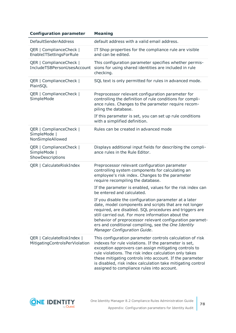| <b>Configuration parameter</b>                               | <b>Meaning</b>                                                                                                                                                                                                                                                                                                                                                                                                 |
|--------------------------------------------------------------|----------------------------------------------------------------------------------------------------------------------------------------------------------------------------------------------------------------------------------------------------------------------------------------------------------------------------------------------------------------------------------------------------------------|
| <b>DefaultSenderAddress</b>                                  | default address with a valid email address.                                                                                                                                                                                                                                                                                                                                                                    |
| QER   ComplianceCheck  <br>EnableITSettingsForRule           | IT Shop properties for the compliance rule are visible<br>and can be edited.                                                                                                                                                                                                                                                                                                                                   |
| QER   ComplianceCheck  <br>IncludeTSBPersonUsesAccount       | This configuration parameter specifies whether permis-<br>sions for using shared identities are included in rule<br>checking.                                                                                                                                                                                                                                                                                  |
| QER   ComplianceCheck  <br>PlainSQL                          | SQL text is only permitted for rules in advanced mode.                                                                                                                                                                                                                                                                                                                                                         |
| QER   ComplianceCheck  <br>SimpleMode                        | Preprocessor relevant configuration parameter for<br>controlling the definition of rule conditions for compli-<br>ance rules. Changes to the parameter require recom-<br>piling the database.                                                                                                                                                                                                                  |
|                                                              | If this parameter is set, you can set up rule conditions<br>with a simplified definition.                                                                                                                                                                                                                                                                                                                      |
| QER   ComplianceCheck  <br>SimpleMode  <br>NonSimpleAllowed  | Rules can be created in advanced mode                                                                                                                                                                                                                                                                                                                                                                          |
| QER   ComplianceCheck  <br>SimpleMode  <br>ShowDescriptions  | Displays additional input fields for describing the compli-<br>ance rules in the Rule Editor.                                                                                                                                                                                                                                                                                                                  |
| QER   CalculateRiskIndex                                     | Preprocessor relevant configuration parameter<br>controlling system components for calculating an<br>employee's risk index. Changes to the parameter<br>require recompiling the database.                                                                                                                                                                                                                      |
|                                                              | If the parameter is enabled, values for the risk index can<br>be entered and calculated.                                                                                                                                                                                                                                                                                                                       |
|                                                              | If you disable the configuration parameter at a later<br>date, model components and scripts that are not longer<br>required, are disabled. SQL procedures and triggers are<br>still carried out. For more information about the<br>behavior of preprocessor relevant configuration paramet-<br>ers and conditional compiling, see the One Identity<br>Manager Configuration Guide.                             |
| QER   CalculateRiskIndex  <br>MitigatingControlsPerViolation | This configuration parameter controls calculation of risk<br>indexes for rule violations. If the parameter is set,<br>exception approvers can assign mitigating controls to<br>rule violations. The risk index calculation only takes<br>these mitigating controls into account. If the parameter<br>is disabled, risk index calculation take mitigating control<br>assigned to compliance rules into account. |

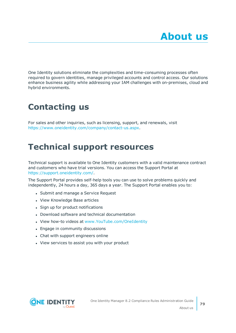One Identity solutions eliminate the complexities and time-consuming processes often required to govern identities, manage privileged accounts and control access. Our solutions enhance business agility while addressing your IAM challenges with on-premises, cloud and hybrid environments.

## **Contacting us**

For sales and other inquiries, such as licensing, support, and renewals, visit <https://www.oneidentity.com/company/contact-us.aspx>.

## **Technical support resources**

Technical support is available to One Identity customers with a valid maintenance contract and customers who have trial versions. You can access the Support Portal at [https://support.oneidentity.com/.](https://support.oneidentity.com/)

The Support Portal provides self-help tools you can use to solve problems quickly and independently, 24 hours a day, 365 days a year. The Support Portal enables you to:

- Submit and manage a Service Request
- View Knowledge Base articles
- Sign up for product notifications
- Download software and technical documentation
- View how-to videos at [www.YouTube.com/OneIdentity](http://www.youtube.com/OneIdentity)
- Engage in community discussions
- Chat with support engineers online
- View services to assist you with your product

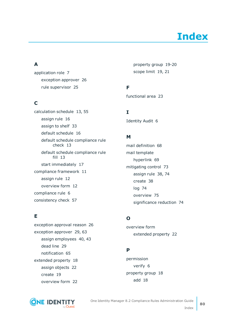# **Index**

### **A**

application role [7](#page-6-0) exception approver [26](#page-25-0) rule supervisor [25](#page-24-0)

### **C**

calculation schedule [13](#page-12-0), [55](#page-54-0) assign rule [16](#page-15-0) assign to shelf [33](#page-32-0) default schedule [16](#page-15-1) default schedule compliance rule check [13](#page-12-0) default schedule compliance rule fill [13](#page-12-0) start immediately [17](#page-16-0) compliance framework [11](#page-10-0) assign rule [12](#page-11-0) overview form [12](#page-11-1) compliance rule [6](#page-5-0) consistency check [57](#page-56-0)

### **E**

exception approval reason [26](#page-25-1) exception approver [29](#page-28-0), [63](#page-62-0) assign employees [40,](#page-39-0) [43](#page-42-0) dead line [29](#page-28-0) notification [65](#page-64-0) extended property [18](#page-17-0) assign objects [22](#page-21-0) create [19](#page-18-0) overview form [22](#page-21-1)



property group [19-20](#page-18-1) scope limit [19,](#page-18-1) [21](#page-20-0)

### **F**

functional area [23](#page-22-0)

**I**

Identity Audit [6](#page-5-0)

### **M**

mail definition [68](#page-67-0) mail template hyperlink [69](#page-68-0) mitigating control [73](#page-72-0) assign rule [38,](#page-37-0) [74](#page-73-0) create [38](#page-37-0) log [74](#page-73-1) overview [75](#page-74-0) significance reduction [74](#page-73-1)

### **O**

overview form extended property [22](#page-21-1)

### **P**

permission verify [6](#page-5-0) property group [18](#page-17-0) add [18](#page-17-1)

**80**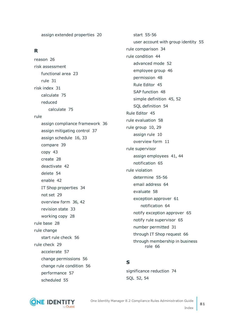assign extended properties [20](#page-19-0)

### **R**

reason [26](#page-25-1) risk assessment functional area [23](#page-22-0) rule [31](#page-30-0) risk index [31](#page-30-0) calculate [75](#page-74-1) reduced calculate [75](#page-74-1) rule assign compliance framework [36](#page-35-0) assign mitigating control [37](#page-36-0) assign schedule [16](#page-15-0), [33](#page-32-0) compare [39](#page-38-0) copy [43](#page-42-1) create [28](#page-27-0) deactivate [42](#page-41-0) delete [54](#page-53-0) enable [42](#page-41-0) IT Shop properties [34](#page-33-0) not set [29](#page-28-0) overview form [36](#page-35-1), [42](#page-41-1) revision state [33](#page-32-0) working copy [28](#page-27-0) rule base [28](#page-27-1) rule change start rule check [56](#page-55-0) rule check [29](#page-28-0) accelerate [57](#page-56-0) change permissions [56](#page-55-0) change rule condition [56](#page-55-0) performance [57](#page-56-0) scheduled [55](#page-54-0)

start [55-56](#page-54-1) user account with group identity [55](#page-54-2) rule comparison [34](#page-33-1) rule condition [44](#page-43-0) advanced mode [52](#page-51-0) employee group [46](#page-45-0) permission [48](#page-47-0) Rule Editor [45](#page-44-0) SAP function [48](#page-47-0) simple definition [45](#page-44-0), [52](#page-51-0) SQL definition [54](#page-53-1) Rule Editor [45](#page-44-0) rule evaluation [58](#page-57-0) rule group [10,](#page-9-0) [29](#page-28-0) assign rule [10](#page-9-1) overview form [11](#page-10-1) rule supervisor assign employees [41](#page-40-0), [44](#page-43-1) notification [65](#page-64-1) rule violation determine [55-56](#page-54-1) email address [64](#page-63-0) evaluate [58](#page-57-1) exception approver [61](#page-60-0) notification [64](#page-63-0) notify exception approver [65](#page-64-0) notify rule supervisor [65](#page-64-1) number permitted [31](#page-30-0) through IT Shop request [66](#page-65-0) through membership in business role [66](#page-65-0)

### **S**

significance reduction [74](#page-73-1) SQL [52](#page-51-0), [54](#page-53-1)



One Identity Manager 8.2 Compliance Rules Administration Guide Index